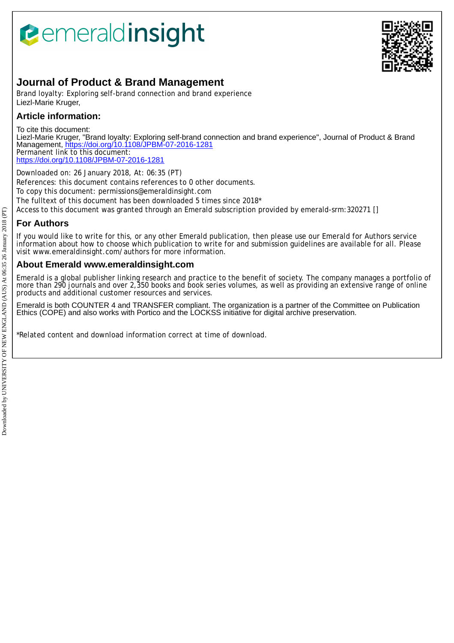# *<u><b>eemeraldinsight</u>*



## **Journal of Product & Brand Management**

Brand loyalty: Exploring self-brand connection and brand experience Liezl-Marie Kruger,

## **Article information:**

To cite this document: Liezl-Marie Kruger, "Brand loyalty: Exploring self-brand connection and brand experience", Journal of Product & Brand Management,<https://doi.org/10.1108/JPBM-07-2016-1281> Permanent link to this document: <https://doi.org/10.1108/JPBM-07-2016-1281>

Downloaded on: 26 January 2018, At: 06:35 (PT) References: this document contains references to 0 other documents. To copy this document: permissions@emeraldinsight.com The fulltext of this document has been downloaded 5 times since 2018\*

Access to this document was granted through an Emerald subscription provided by emerald-srm:320271 []

## **For Authors**

If you would like to write for this, or any other Emerald publication, then please use our Emerald for Authors service information about how to choose which publication to write for and submission guidelines are available for all. Please visit www.emeraldinsight.com/authors for more information.

## **About Emerald www.emeraldinsight.com**

Emerald is a global publisher linking research and practice to the benefit of society. The company manages a portfolio of more than 290 journals and over 2,350 books and book series volumes, as well as providing an extensive range of online products and additional customer resources and services.

Emerald is both COUNTER 4 and TRANSFER compliant. The organization is a partner of the Committee on Publication Ethics (COPE) and also works with Portico and the LOCKSS initiative for digital archive preservation.

\*Related content and download information correct at time of download.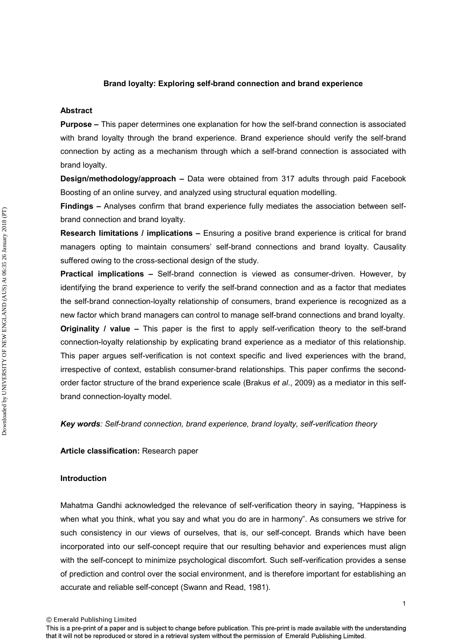## **Brand loyalty: Exploring self-brand connection and brand experience**

#### **Abstract**

**Purpose –** This paper determines one explanation for how the self-brand connection is associated with brand loyalty through the brand experience. Brand experience should verify the self-brand connection by acting as a mechanism through which a self-brand connection is associated with brand loyalty.

**Design/methodology/approach –** Data were obtained from 317 adults through paid Facebook Boosting of an online survey, and analyzed using structural equation modelling.

**Findings –** Analyses confirm that brand experience fully mediates the association between selfbrand connection and brand loyalty.

**Research limitations / implications –** Ensuring a positive brand experience is critical for brand managers opting to maintain consumers' self-brand connections and brand loyalty. Causality suffered owing to the cross-sectional design of the study.

**Practical implications –** Self-brand connection is viewed as consumer-driven. However, by identifying the brand experience to verify the self-brand connection and as a factor that mediates the self-brand connection-loyalty relationship of consumers, brand experience is recognized as a new factor which brand managers can control to manage self-brand connections and brand loyalty. **Originality / value –** This paper is the first to apply self-verification theory to the self-brand connection-loyalty relationship by explicating brand experience as a mediator of this relationship. This paper argues self-verification is not context specific and lived experiences with the brand, irrespective of context, establish consumer-brand relationships. This paper confirms the secondorder factor structure of the brand experience scale (Brakus *et al*., 2009) as a mediator in this selfbrand connection-loyalty model.

*Key words: Self-brand connection, brand experience, brand loyalty, self-verification theory* 

**Article classification:** Research paper

## **Introduction**

Mahatma Gandhi acknowledged the relevance of self-verification theory in saying, "Happiness is when what you think, what you say and what you do are in harmony". As consumers we strive for such consistency in our views of ourselves, that is, our self-concept. Brands which have been incorporated into our self-concept require that our resulting behavior and experiences must align with the self-concept to minimize psychological discomfort. Such self-verification provides a sense of prediction and control over the social environment, and is therefore important for establishing an accurate and reliable self-concept (Swann and Read, 1981).

© Emerald Publishing Limited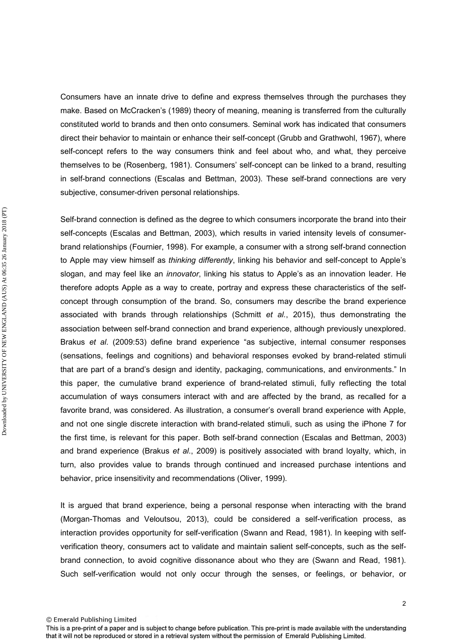Consumers have an innate drive to define and express themselves through the purchases they make. Based on McCracken's (1989) theory of meaning, meaning is transferred from the culturally constituted world to brands and then onto consumers. Seminal work has indicated that consumers direct their behavior to maintain or enhance their self-concept (Grubb and Grathwohl, 1967), where self-concept refers to the way consumers think and feel about who, and what, they perceive themselves to be (Rosenberg, 1981). Consumers' self-concept can be linked to a brand, resulting in self-brand connections (Escalas and Bettman, 2003). These self-brand connections are very subjective, consumer-driven personal relationships.

Self-brand connection is defined as the degree to which consumers incorporate the brand into their self-concepts (Escalas and Bettman, 2003), which results in varied intensity levels of consumerbrand relationships (Fournier, 1998). For example, a consumer with a strong self-brand connection to Apple may view himself as *thinking differently*, linking his behavior and self-concept to Apple's slogan, and may feel like an *innovator*, linking his status to Apple's as an innovation leader. He therefore adopts Apple as a way to create, portray and express these characteristics of the selfconcept through consumption of the brand. So, consumers may describe the brand experience associated with brands through relationships (Schmitt *et al.*, 2015), thus demonstrating the association between self-brand connection and brand experience, although previously unexplored. Brakus *et al*. (2009:53) define brand experience "as subjective, internal consumer responses (sensations, feelings and cognitions) and behavioral responses evoked by brand-related stimuli that are part of a brand's design and identity, packaging, communications, and environments." In this paper, the cumulative brand experience of brand-related stimuli, fully reflecting the total accumulation of ways consumers interact with and are affected by the brand, as recalled for a favorite brand, was considered. As illustration, a consumer's overall brand experience with Apple, and not one single discrete interaction with brand-related stimuli, such as using the iPhone 7 for the first time, is relevant for this paper. Both self-brand connection (Escalas and Bettman, 2003) and brand experience (Brakus *et al*., 2009) is positively associated with brand loyalty, which, in turn, also provides value to brands through continued and increased purchase intentions and behavior, price insensitivity and recommendations (Oliver, 1999).

It is argued that brand experience, being a personal response when interacting with the brand (Morgan-Thomas and Veloutsou, 2013), could be considered a self-verification process, as interaction provides opportunity for self-verification (Swann and Read, 1981). In keeping with selfverification theory, consumers act to validate and maintain salient self-concepts, such as the selfbrand connection, to avoid cognitive dissonance about who they are (Swann and Read, 1981). Such self-verification would not only occur through the senses, or feelings, or behavior, or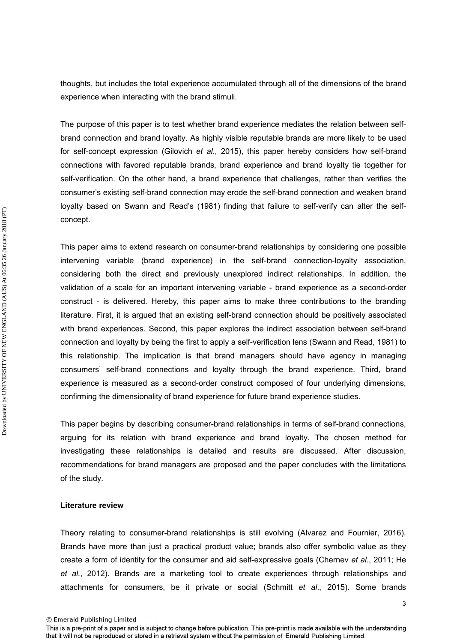thoughts, but includes the total experience accumulated through all of the dimensions of the brand experience when interacting with the brand stimuli.

The purpose of this paper is to test whether brand experience mediates the relation between selfbrand connection and brand loyalty. As highly visible reputable brands are more likely to be used for self-concept expression (Gilovich *et al*., 2015), this paper hereby considers how self-brand connections with favored reputable brands, brand experience and brand loyalty tie together for self-verification. On the other hand, a brand experience that challenges, rather than verifies the consumer's existing self-brand connection may erode the self-brand connection and weaken brand loyalty based on Swann and Read's (1981) finding that failure to self-verify can alter the selfconcept.

This paper aims to extend research on consumer-brand relationships by considering one possible intervening variable (brand experience) in the self-brand connection-loyalty association, considering both the direct and previously unexplored indirect relationships. In addition, the validation of a scale for an important intervening variable - brand experience as a second-order construct - is delivered. Hereby, this paper aims to make three contributions to the branding literature. First, it is argued that an existing self-brand connection should be positively associated with brand experiences. Second, this paper explores the indirect association between self-brand connection and loyalty by being the first to apply a self-verification lens (Swann and Read, 1981) to this relationship. The implication is that brand managers should have agency in managing consumers' self-brand connections and loyalty through the brand experience. Third, brand experience is measured as a second-order construct composed of four underlying dimensions, confirming the dimensionality of brand experience for future brand experience studies.

This paper begins by describing consumer-brand relationships in terms of self-brand connections, arguing for its relation with brand experience and brand loyalty. The chosen method for investigating these relationships is detailed and results are discussed. After discussion, recommendations for brand managers are proposed and the paper concludes with the limitations of the study.

## **Literature review**

Theory relating to consumer-brand relationships is still evolving (Alvarez and Fournier, 2016). Brands have more than just a practical product value; brands also offer symbolic value as they create a form of identity for the consumer and aid self-expressive goals (Chernev *et al*., 2011; He *et al*., 2012). Brands are a marketing tool to create experiences through relationships and attachments for consumers, be it private or social (Schmitt *et al*., 2015). Some brands

<sup>©</sup> Emerald Publishing Limited

This is a pre-print of a paper and is subject to change before publication. This pre-print is made available with the understanding that it will not be reproduced or stored in a retrieval system without the permission of Emerald Publishing Limited.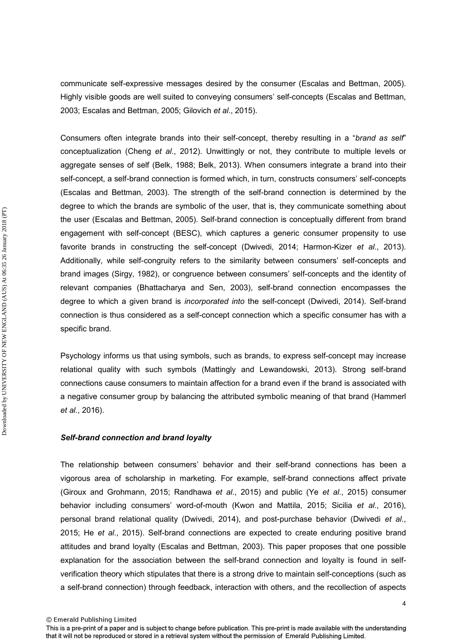communicate self-expressive messages desired by the consumer (Escalas and Bettman, 2005). Highly visible goods are well suited to conveying consumers' self-concepts (Escalas and Bettman, 2003; Escalas and Bettman, 2005; Gilovich *et al*., 2015).

Consumers often integrate brands into their self-concept, thereby resulting in a "*brand as self*" conceptualization (Cheng *et al*., 2012). Unwittingly or not, they contribute to multiple levels or aggregate senses of self (Belk, 1988; Belk, 2013). When consumers integrate a brand into their self-concept, a self-brand connection is formed which, in turn, constructs consumers' self-concepts (Escalas and Bettman, 2003). The strength of the self-brand connection is determined by the degree to which the brands are symbolic of the user, that is, they communicate something about the user (Escalas and Bettman, 2005). Self-brand connection is conceptually different from brand engagement with self-concept (BESC), which captures a generic consumer propensity to use favorite brands in constructing the self-concept (Dwivedi, 2014; Harmon-Kizer *et al*., 2013). Additionally, while self-congruity refers to the similarity between consumers' self-concepts and brand images (Sirgy, 1982), or congruence between consumers' self-concepts and the identity of relevant companies (Bhattacharya and Sen, 2003), self-brand connection encompasses the degree to which a given brand is *incorporated into* the self-concept (Dwivedi, 2014). Self-brand connection is thus considered as a self-concept connection which a specific consumer has with a specific brand.

Psychology informs us that using symbols, such as brands, to express self-concept may increase relational quality with such symbols (Mattingly and Lewandowski, 2013). Strong self-brand connections cause consumers to maintain affection for a brand even if the brand is associated with a negative consumer group by balancing the attributed symbolic meaning of that brand (Hammerl *et al*., 2016).

## *Self-brand connection and brand loyalty*

The relationship between consumers' behavior and their self-brand connections has been a vigorous area of scholarship in marketing. For example, self-brand connections affect private (Giroux and Grohmann, 2015; Randhawa *et al*., 2015) and public (Ye *et al*., 2015) consumer behavior including consumers' word-of-mouth (Kwon and Mattila, 2015; Sicilia *et al*., 2016), personal brand relational quality (Dwivedi, 2014), and post-purchase behavior (Dwivedi *et al*., 2015; He *et al*., 2015). Self-brand connections are expected to create enduring positive brand attitudes and brand loyalty (Escalas and Bettman, 2003). This paper proposes that one possible explanation for the association between the self-brand connection and loyalty is found in selfverification theory which stipulates that there is a strong drive to maintain self-conceptions (such as a self-brand connection) through feedback, interaction with others, and the recollection of aspects

© Emerald Publishing Limited

This is a pre-print of a paper and is subject to change before publication. This pre-print is made available with the understanding that it will not be reproduced or stored in a retrieval system without the permission of Emerald Publishing Limited.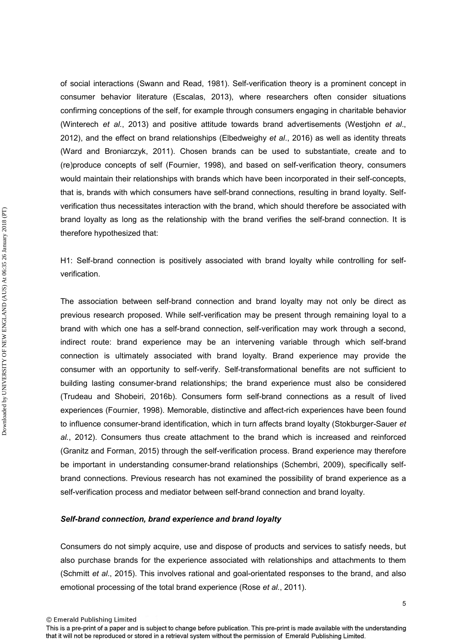of social interactions (Swann and Read, 1981). Self-verification theory is a prominent concept in consumer behavior literature (Escalas, 2013), where researchers often consider situations confirming conceptions of the self, for example through consumers engaging in charitable behavior (Winterech *et al*., 2013) and positive attitude towards brand advertisements (Westjohn *et al*., 2012), and the effect on brand relationships (Elbedweighy *et al*., 2016) as well as identity threats (Ward and Broniarczyk, 2011). Chosen brands can be used to substantiate, create and to (re)produce concepts of self (Fournier, 1998), and based on self-verification theory, consumers would maintain their relationships with brands which have been incorporated in their self-concepts, that is, brands with which consumers have self-brand connections, resulting in brand loyalty. Selfverification thus necessitates interaction with the brand, which should therefore be associated with brand loyalty as long as the relationship with the brand verifies the self-brand connection. It is therefore hypothesized that:

H1: Self-brand connection is positively associated with brand loyalty while controlling for selfverification.

The association between self-brand connection and brand loyalty may not only be direct as previous research proposed. While self-verification may be present through remaining loyal to a brand with which one has a self-brand connection, self-verification may work through a second, indirect route: brand experience may be an intervening variable through which self-brand connection is ultimately associated with brand loyalty. Brand experience may provide the consumer with an opportunity to self-verify. Self-transformational benefits are not sufficient to building lasting consumer-brand relationships; the brand experience must also be considered (Trudeau and Shobeiri, 2016b). Consumers form self-brand connections as a result of lived experiences (Fournier, 1998). Memorable, distinctive and affect-rich experiences have been found to influence consumer-brand identification, which in turn affects brand loyalty (Stokburger-Sauer *et al.*, 2012). Consumers thus create attachment to the brand which is increased and reinforced (Granitz and Forman, 2015) through the self-verification process. Brand experience may therefore be important in understanding consumer-brand relationships (Schembri, 2009), specifically selfbrand connections. Previous research has not examined the possibility of brand experience as a self-verification process and mediator between self-brand connection and brand loyalty.

## *Self-brand connection, brand experience and brand loyalty*

Consumers do not simply acquire, use and dispose of products and services to satisfy needs, but also purchase brands for the experience associated with relationships and attachments to them (Schmitt *et al*., 2015). This involves rational and goal-orientated responses to the brand, and also emotional processing of the total brand experience (Rose *et al*., 2011).

© Emerald Publishing Limited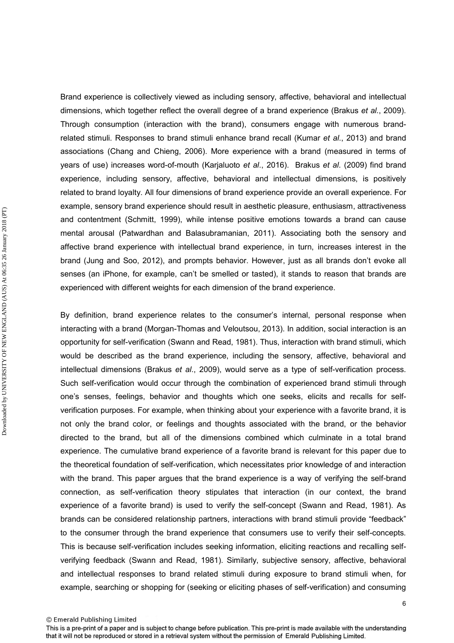Brand experience is collectively viewed as including sensory, affective, behavioral and intellectual dimensions, which together reflect the overall degree of a brand experience (Brakus *et al.*, 2009). Through consumption (interaction with the brand), consumers engage with numerous brandrelated stimuli. Responses to brand stimuli enhance brand recall (Kumar *et al*., 2013) and brand associations (Chang and Chieng, 2006). More experience with a brand (measured in terms of years of use) increases word-of-mouth (Karjaluoto *et al*., 2016). Brakus *et al*. (2009) find brand experience, including sensory, affective, behavioral and intellectual dimensions, is positively related to brand loyalty. All four dimensions of brand experience provide an overall experience. For example, sensory brand experience should result in aesthetic pleasure, enthusiasm, attractiveness and contentment (Schmitt, 1999), while intense positive emotions towards a brand can cause mental arousal (Patwardhan and Balasubramanian, 2011). Associating both the sensory and affective brand experience with intellectual brand experience, in turn, increases interest in the brand (Jung and Soo, 2012), and prompts behavior. However, just as all brands don't evoke all senses (an iPhone, for example, can't be smelled or tasted), it stands to reason that brands are experienced with different weights for each dimension of the brand experience.

By definition, brand experience relates to the consumer's internal, personal response when interacting with a brand (Morgan-Thomas and Veloutsou, 2013). In addition, social interaction is an opportunity for self-verification (Swann and Read, 1981). Thus, interaction with brand stimuli, which would be described as the brand experience, including the sensory, affective, behavioral and intellectual dimensions (Brakus *et al*., 2009), would serve as a type of self-verification process. Such self-verification would occur through the combination of experienced brand stimuli through one's senses, feelings, behavior and thoughts which one seeks, elicits and recalls for selfverification purposes. For example, when thinking about your experience with a favorite brand, it is not only the brand color, or feelings and thoughts associated with the brand, or the behavior directed to the brand, but all of the dimensions combined which culminate in a total brand experience. The cumulative brand experience of a favorite brand is relevant for this paper due to the theoretical foundation of self-verification, which necessitates prior knowledge of and interaction with the brand. This paper argues that the brand experience is a way of verifying the self-brand connection, as self-verification theory stipulates that interaction (in our context, the brand experience of a favorite brand) is used to verify the self-concept (Swann and Read, 1981). As brands can be considered relationship partners, interactions with brand stimuli provide "feedback" to the consumer through the brand experience that consumers use to verify their self-concepts. This is because self-verification includes seeking information, eliciting reactions and recalling selfverifying feedback (Swann and Read, 1981). Similarly, subjective sensory, affective, behavioral and intellectual responses to brand related stimuli during exposure to brand stimuli when, for example, searching or shopping for (seeking or eliciting phases of self-verification) and consuming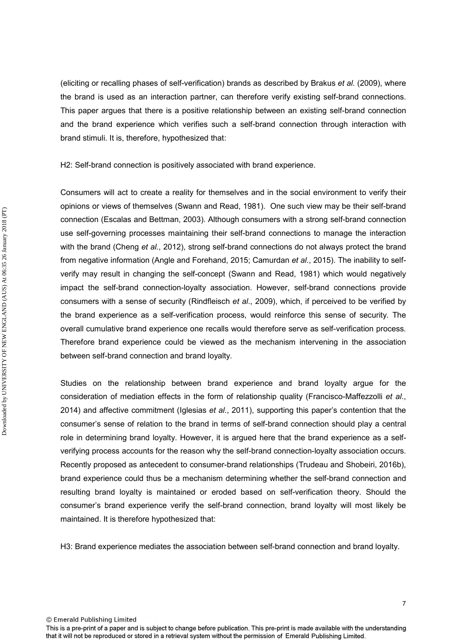(eliciting or recalling phases of self-verification) brands as described by Brakus *et al*. (2009), where the brand is used as an interaction partner, can therefore verify existing self-brand connections. This paper argues that there is a positive relationship between an existing self-brand connection and the brand experience which verifies such a self-brand connection through interaction with brand stimuli. It is, therefore, hypothesized that:

H2: Self-brand connection is positively associated with brand experience.

Consumers will act to create a reality for themselves and in the social environment to verify their opinions or views of themselves (Swann and Read, 1981). One such view may be their self-brand connection (Escalas and Bettman, 2003). Although consumers with a strong self-brand connection use self-governing processes maintaining their self-brand connections to manage the interaction with the brand (Cheng *et al.*, 2012), strong self-brand connections do not always protect the brand from negative information (Angle and Forehand, 2015; Camurdan *et al*., 2015). The inability to selfverify may result in changing the self-concept (Swann and Read, 1981) which would negatively impact the self-brand connection-loyalty association. However, self-brand connections provide consumers with a sense of security (Rindfleisch *et al*., 2009), which, if perceived to be verified by the brand experience as a self-verification process, would reinforce this sense of security. The overall cumulative brand experience one recalls would therefore serve as self-verification process. Therefore brand experience could be viewed as the mechanism intervening in the association between self-brand connection and brand loyalty.

Studies on the relationship between brand experience and brand loyalty argue for the consideration of mediation effects in the form of relationship quality (Francisco-Maffezzolli *et al*., 2014) and affective commitment (Iglesias *et al*., 2011), supporting this paper's contention that the consumer's sense of relation to the brand in terms of self-brand connection should play a central role in determining brand loyalty. However, it is argued here that the brand experience as a selfverifying process accounts for the reason why the self-brand connection-loyalty association occurs. Recently proposed as antecedent to consumer-brand relationships (Trudeau and Shobeiri, 2016b), brand experience could thus be a mechanism determining whether the self-brand connection and resulting brand loyalty is maintained or eroded based on self-verification theory. Should the consumer's brand experience verify the self-brand connection, brand loyalty will most likely be maintained. It is therefore hypothesized that:

H3: Brand experience mediates the association between self-brand connection and brand loyalty.

© Emerald Publishing Limited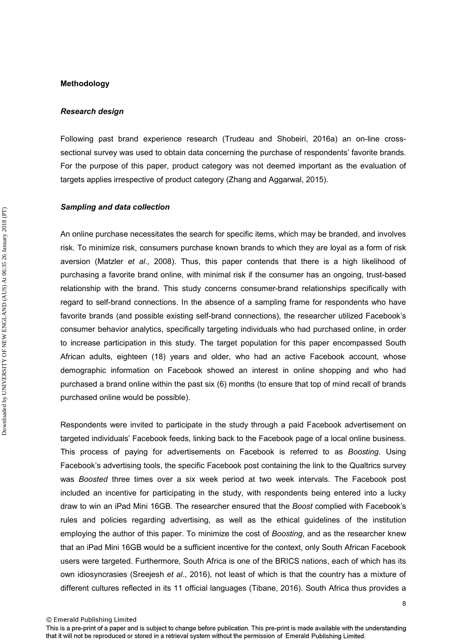#### **Methodology**

Downloaded by UNIVERSITY OF NEW ENGLAND (AUS) At 06:35 26 January 2018 (PT) Downloaded by UNIVERSITY OF NEW ENGLAND (AUS) At 06:35 26 January 2018 (PT)

#### *Research design*

Following past brand experience research (Trudeau and Shobeiri, 2016a) an on-line crosssectional survey was used to obtain data concerning the purchase of respondents' favorite brands. For the purpose of this paper, product category was not deemed important as the evaluation of targets applies irrespective of product category (Zhang and Aggarwal, 2015).

#### *Sampling and data collection*

An online purchase necessitates the search for specific items, which may be branded, and involves risk. To minimize risk, consumers purchase known brands to which they are loyal as a form of risk aversion (Matzler *et al*., 2008). Thus, this paper contends that there is a high likelihood of purchasing a favorite brand online, with minimal risk if the consumer has an ongoing, trust-based relationship with the brand. This study concerns consumer-brand relationships specifically with regard to self-brand connections. In the absence of a sampling frame for respondents who have favorite brands (and possible existing self-brand connections), the researcher utilized Facebook's consumer behavior analytics, specifically targeting individuals who had purchased online, in order to increase participation in this study. The target population for this paper encompassed South African adults, eighteen (18) years and older, who had an active Facebook account, whose demographic information on Facebook showed an interest in online shopping and who had purchased a brand online within the past six (6) months (to ensure that top of mind recall of brands purchased online would be possible).

Respondents were invited to participate in the study through a paid Facebook advertisement on targeted individuals' Facebook feeds, linking back to the Facebook page of a local online business. This process of paying for advertisements on Facebook is referred to as *Boosting*. Using Facebook's advertising tools, the specific Facebook post containing the link to the Qualtrics survey was *Boosted* three times over a six week period at two week intervals. The Facebook post included an incentive for participating in the study, with respondents being entered into a lucky draw to win an iPad Mini 16GB. The researcher ensured that the *Boost* complied with Facebook's rules and policies regarding advertising, as well as the ethical guidelines of the institution employing the author of this paper. To minimize the cost of *Boosting*, and as the researcher knew that an iPad Mini 16GB would be a sufficient incentive for the context, only South African Facebook users were targeted. Furthermore, South Africa is one of the BRICS nations, each of which has its own idiosyncrasies (Sreejesh *et al*., 2016), not least of which is that the country has a mixture of different cultures reflected in its 11 official languages (Tibane, 2016). South Africa thus provides a

This is a pre-print of a paper and is subject to change before publication. This pre-print is made available with the understanding that it will not be reproduced or stored in a retrieval system without the permission of Emerald Publishing Limited.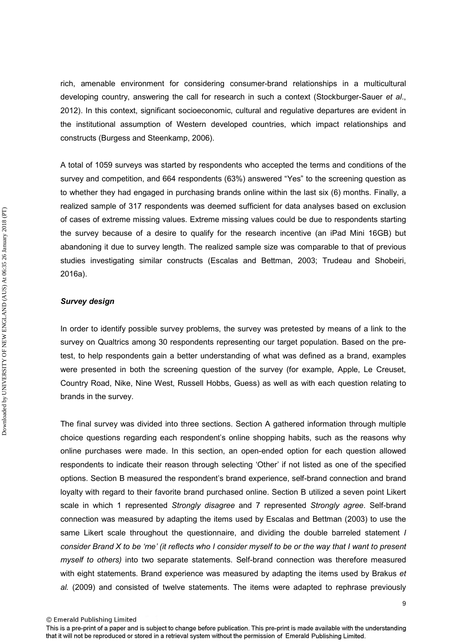rich, amenable environment for considering consumer-brand relationships in a multicultural developing country, answering the call for research in such a context (Stockburger-Sauer *et al*., 2012). In this context, significant socioeconomic, cultural and regulative departures are evident in the institutional assumption of Western developed countries, which impact relationships and constructs (Burgess and Steenkamp, 2006).

A total of 1059 surveys was started by respondents who accepted the terms and conditions of the survey and competition, and 664 respondents (63%) answered "Yes" to the screening question as to whether they had engaged in purchasing brands online within the last six (6) months. Finally, a realized sample of 317 respondents was deemed sufficient for data analyses based on exclusion of cases of extreme missing values. Extreme missing values could be due to respondents starting the survey because of a desire to qualify for the research incentive (an iPad Mini 16GB) but abandoning it due to survey length. The realized sample size was comparable to that of previous studies investigating similar constructs (Escalas and Bettman, 2003; Trudeau and Shobeiri, 2016a).

## *Survey design*

Downloaded by UNIVERSITY OF NEW ENGLAND (AUS) At 06:35 26 January 2018 (PT) Downloaded by UNIVERSITY OF NEW ENGLAND (AUS) At 06:35 26 January 2018 (PT)

In order to identify possible survey problems, the survey was pretested by means of a link to the survey on Qualtrics among 30 respondents representing our target population. Based on the pretest, to help respondents gain a better understanding of what was defined as a brand, examples were presented in both the screening question of the survey (for example, Apple, Le Creuset, Country Road, Nike, Nine West, Russell Hobbs, Guess) as well as with each question relating to brands in the survey.

The final survey was divided into three sections. Section A gathered information through multiple choice questions regarding each respondent's online shopping habits, such as the reasons why online purchases were made. In this section, an open-ended option for each question allowed respondents to indicate their reason through selecting 'Other' if not listed as one of the specified options. Section B measured the respondent's brand experience, self-brand connection and brand loyalty with regard to their favorite brand purchased online. Section B utilized a seven point Likert scale in which 1 represented *Strongly disagree* and 7 represented *Strongly agree*. Self-brand connection was measured by adapting the items used by Escalas and Bettman (2003) to use the same Likert scale throughout the questionnaire, and dividing the double barreled statement *I consider Brand X to be 'me' (it reflects who I consider myself to be or the way that I want to present myself to others)* into two separate statements. Self-brand connection was therefore measured with eight statements. Brand experience was measured by adapting the items used by Brakus *et al.* (2009) and consisted of twelve statements. The items were adapted to rephrase previously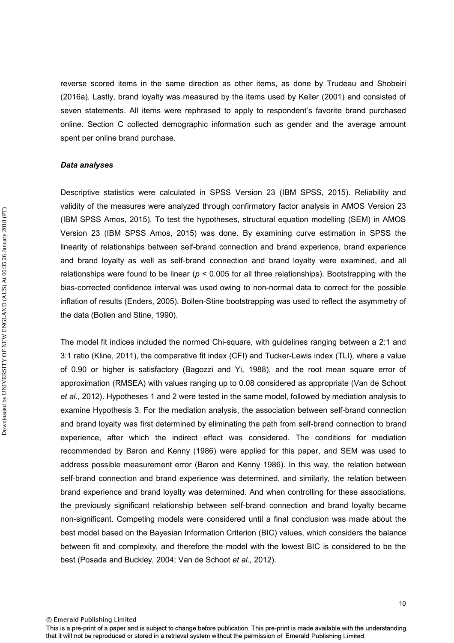reverse scored items in the same direction as other items, as done by Trudeau and Shobeiri (2016a). Lastly, brand loyalty was measured by the items used by Keller (2001) and consisted of seven statements. All items were rephrased to apply to respondent's favorite brand purchased online. Section C collected demographic information such as gender and the average amount spent per online brand purchase.

## *Data analyses*

Descriptive statistics were calculated in SPSS Version 23 (IBM SPSS, 2015). Reliability and validity of the measures were analyzed through confirmatory factor analysis in AMOS Version 23 (IBM SPSS Amos, 2015). To test the hypotheses, structural equation modelling (SEM) in AMOS Version 23 (IBM SPSS Amos, 2015) was done. By examining curve estimation in SPSS the linearity of relationships between self-brand connection and brand experience, brand experience and brand loyalty as well as self-brand connection and brand loyalty were examined, and all relationships were found to be linear (*p* < 0.005 for all three relationships). Bootstrapping with the bias-corrected confidence interval was used owing to non-normal data to correct for the possible inflation of results (Enders, 2005). Bollen-Stine bootstrapping was used to reflect the asymmetry of the data (Bollen and Stine, 1990).

The model fit indices included the normed Chi-square, with guidelines ranging between a 2:1 and 3:1 ratio (Kline, 2011), the comparative fit index (CFI) and Tucker-Lewis index (TLI), where a value of 0.90 or higher is satisfactory (Bagozzi and Yi, 1988), and the root mean square error of approximation (RMSEA) with values ranging up to 0.08 considered as appropriate (Van de Schoot *et al*., 2012). Hypotheses 1 and 2 were tested in the same model, followed by mediation analysis to examine Hypothesis 3. For the mediation analysis, the association between self-brand connection and brand loyalty was first determined by eliminating the path from self-brand connection to brand experience, after which the indirect effect was considered. The conditions for mediation recommended by Baron and Kenny (1986) were applied for this paper, and SEM was used to address possible measurement error (Baron and Kenny 1986). In this way, the relation between self-brand connection and brand experience was determined, and similarly, the relation between brand experience and brand loyalty was determined. And when controlling for these associations, the previously significant relationship between self-brand connection and brand loyalty became non-significant. Competing models were considered until a final conclusion was made about the best model based on the Bayesian Information Criterion (BIC) values, which considers the balance between fit and complexity, and therefore the model with the lowest BIC is considered to be the best (Posada and Buckley, 2004; Van de Schoot *et al*., 2012).

© Emerald Publishing Limited

10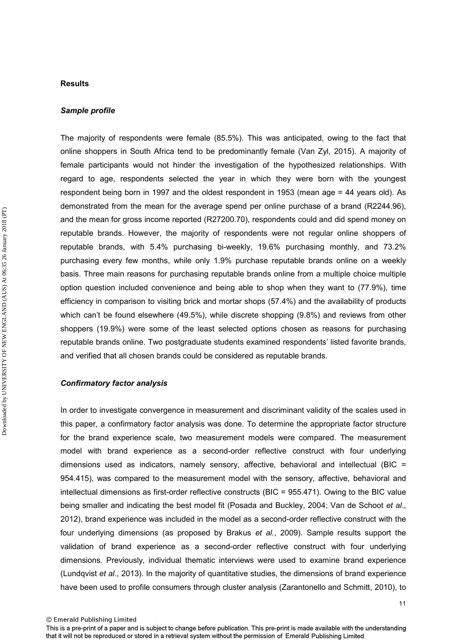#### **Results**

#### *Sample profile*

The majority of respondents were female (85.5%). This was anticipated, owing to the fact that online shoppers in South Africa tend to be predominantly female (Van Zyl, 2015). A majority of female participants would not hinder the investigation of the hypothesized relationships. With regard to age, respondents selected the year in which they were born with the youngest respondent being born in 1997 and the oldest respondent in 1953 (mean age = 44 years old). As demonstrated from the mean for the average spend per online purchase of a brand (R2244.96), and the mean for gross income reported (R27200.70), respondents could and did spend money on reputable brands. However, the majority of respondents were not regular online shoppers of reputable brands, with 5.4% purchasing bi-weekly, 19.6% purchasing monthly, and 73.2% purchasing every few months, while only 1.9% purchase reputable brands online on a weekly basis. Three main reasons for purchasing reputable brands online from a multiple choice multiple option question included convenience and being able to shop when they want to (77.9%), time efficiency in comparison to visiting brick and mortar shops (57.4%) and the availability of products which can't be found elsewhere (49.5%), while discrete shopping (9.8%) and reviews from other shoppers (19.9%) were some of the least selected options chosen as reasons for purchasing reputable brands online. Two postgraduate students examined respondents' listed favorite brands, and verified that all chosen brands could be considered as reputable brands.

## *Confirmatory factor analysis*

In order to investigate convergence in measurement and discriminant validity of the scales used in this paper, a confirmatory factor analysis was done. To determine the appropriate factor structure for the brand experience scale, two measurement models were compared. The measurement model with brand experience as a second-order reflective construct with four underlying dimensions used as indicators, namely sensory, affective, behavioral and intellectual (BIC = 954.415), was compared to the measurement model with the sensory, affective, behavioral and intellectual dimensions as first-order reflective constructs (BIC = 955.471). Owing to the BIC value being smaller and indicating the best model fit (Posada and Buckley, 2004; Van de Schoot *et al*., 2012), brand experience was included in the model as a second-order reflective construct with the four underlying dimensions (as proposed by Brakus *et al.*, 2009). Sample results support the validation of brand experience as a second-order reflective construct with four underlying dimensions. Previously, individual thematic interviews were used to examine brand experience (Lundqvist *et al*., 2013). In the majority of quantitative studies, the dimensions of brand experience have been used to profile consumers through cluster analysis (Zarantonello and Schmitt, 2010), to

<sup>©</sup> Emerald Publishing Limited

This is a pre-print of a paper and is subject to change before publication. This pre-print is made available with the understanding that it will not be reproduced or stored in a retrieval system without the permission of Emerald Publishing Limited.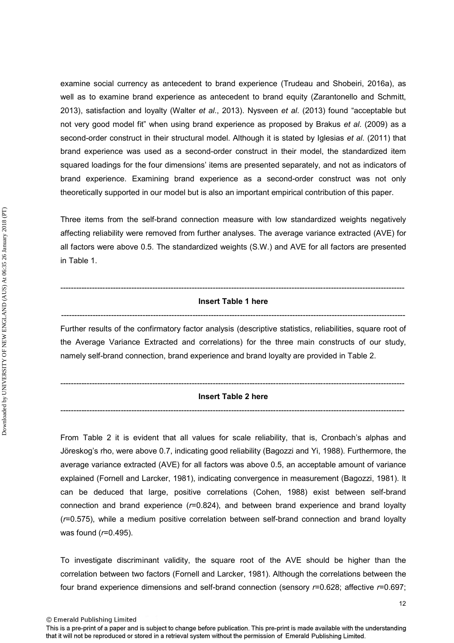examine social currency as antecedent to brand experience (Trudeau and Shobeiri, 2016a), as well as to examine brand experience as antecedent to brand equity (Zarantonello and Schmitt, 2013), satisfaction and loyalty (Walter *et al*., 2013). Nysveen *et al*. (2013) found "acceptable but not very good model fit" when using brand experience as proposed by Brakus *et al*. (2009) as a second-order construct in their structural model. Although it is stated by Iglesias *et al*. (2011) that brand experience was used as a second-order construct in their model, the standardized item squared loadings for the four dimensions' items are presented separately, and not as indicators of brand experience. Examining brand experience as a second-order construct was not only theoretically supported in our model but is also an important empirical contribution of this paper.

Three items from the self-brand connection measure with low standardized weights negatively affecting reliability were removed from further analyses. The average variance extracted (AVE) for all factors were above 0.5. The standardized weights (S.W.) and AVE for all factors are presented in Table 1.

## ----------------------------------------------------------------------------------------------------------------------------------- **Insert Table 1 here**  -----------------------------------------------------------------------------------------------------------------------------------

Further results of the confirmatory factor analysis (descriptive statistics, reliabilities, square root of the Average Variance Extracted and correlations) for the three main constructs of our study, namely self-brand connection, brand experience and brand loyalty are provided in Table 2.

## ----------------------------------------------------------------------------------------------------------------------------------- **Insert Table 2 here**  -----------------------------------------------------------------------------------------------------------------------------------

From Table 2 it is evident that all values for scale reliability, that is, Cronbach's alphas and Jöreskog's rho, were above 0.7, indicating good reliability (Bagozzi and Yi, 1988). Furthermore, the average variance extracted (AVE) for all factors was above 0.5, an acceptable amount of variance explained (Fornell and Larcker, 1981), indicating convergence in measurement (Bagozzi, 1981). It can be deduced that large, positive correlations (Cohen, 1988) exist between self-brand connection and brand experience (*r*=0.824), and between brand experience and brand loyalty (*r*=0.575), while a medium positive correlation between self-brand connection and brand loyalty was found (*r*=0.495).

To investigate discriminant validity, the square root of the AVE should be higher than the correlation between two factors (Fornell and Larcker, 1981). Although the correlations between the four brand experience dimensions and self-brand connection (sensory *r*=0.628; affective *r*=0.697;

© Emerald Publishing Limited

This is a pre-print of a paper and is subject to change before publication. This pre-print is made available with the understanding that it will not be reproduced or stored in a retrieval system without the permission of Emerald Publishing Limited.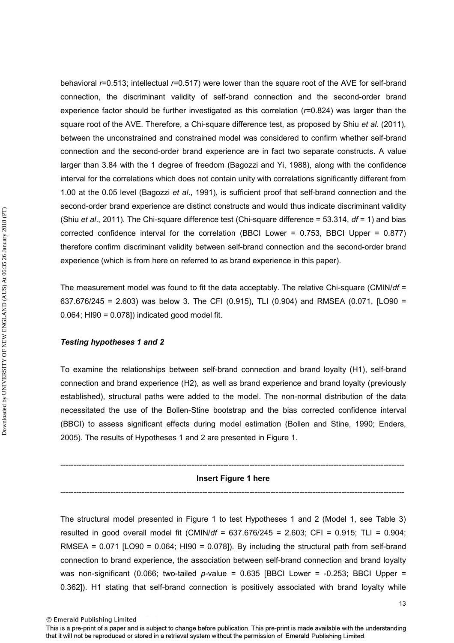behavioral *r*=0.513; intellectual *r*=0.517) were lower than the square root of the AVE for self-brand connection, the discriminant validity of self-brand connection and the second-order brand experience factor should be further investigated as this correlation (*r*=0.824) was larger than the square root of the AVE. Therefore, a Chi-square difference test, as proposed by Shiu *et al*. (2011), between the unconstrained and constrained model was considered to confirm whether self-brand connection and the second-order brand experience are in fact two separate constructs. A value larger than 3.84 with the 1 degree of freedom (Bagozzi and Yi, 1988), along with the confidence interval for the correlations which does not contain unity with correlations significantly different from 1.00 at the 0.05 level (Bagozzi *et al*., 1991), is sufficient proof that self-brand connection and the second-order brand experience are distinct constructs and would thus indicate discriminant validity (Shiu *et al*., 2011). The Chi-square difference test (Chi-square difference = 53.314, *df* = 1) and bias corrected confidence interval for the correlation (BBCI Lower = 0.753, BBCI Upper = 0.877) therefore confirm discriminant validity between self-brand connection and the second-order brand experience (which is from here on referred to as brand experience in this paper).

The measurement model was found to fit the data acceptably. The relative Chi-square (CMIN/*df* = 637.676/245 = 2.603) was below 3. The CFI (0.915), TLI (0.904) and RMSEA (0.071, [LO90 = 0.064; HI90 = 0.078]) indicated good model fit.

#### *Testing hypotheses 1 and 2*

To examine the relationships between self-brand connection and brand loyalty (H1), self-brand connection and brand experience (H2), as well as brand experience and brand loyalty (previously established), structural paths were added to the model. The non-normal distribution of the data necessitated the use of the Bollen-Stine bootstrap and the bias corrected confidence interval (BBCI) to assess significant effects during model estimation (Bollen and Stine, 1990; Enders, 2005). The results of Hypotheses 1 and 2 are presented in Figure 1.

## ----------------------------------------------------------------------------------------------------------------------------------- **Insert Figure 1 here**  -----------------------------------------------------------------------------------------------------------------------------------

The structural model presented in Figure 1 to test Hypotheses 1 and 2 (Model 1, see Table 3) resulted in good overall model fit (CMIN/*df* = 637.676/245 = 2.603; CFI = 0.915; TLI = 0.904; RMSEA =  $0.071$  [LO90 =  $0.064$ ; HI90 =  $0.078$ ]). By including the structural path from self-brand connection to brand experience, the association between self-brand connection and brand loyalty was non-significant (0.066; two-tailed *p*-value = 0.635 [BBCI Lower = -0.253; BBCI Upper = 0.362]). H1 stating that self-brand connection is positively associated with brand loyalty while

© Emerald Publishing Limited

This is a pre-print of a paper and is subject to change before publication. This pre-print is made available with the understanding that it will not be reproduced or stored in a retrieval system without the permission of Emerald Publishing Limited.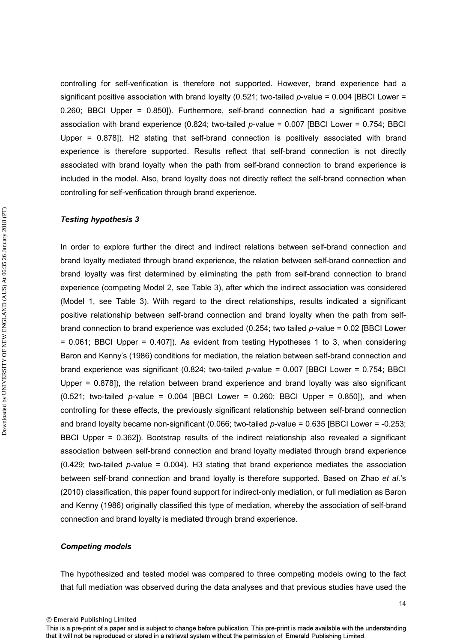controlling for self-verification is therefore not supported. However, brand experience had a significant positive association with brand loyalty (0.521; two-tailed *p*-value = 0.004 [BBCI Lower = 0.260; BBCI Upper = 0.850]). Furthermore, self-brand connection had a significant positive association with brand experience (0.824; two-tailed *p*-value = 0.007 [BBCI Lower = 0.754; BBCI Upper = 0.878]). H2 stating that self-brand connection is positively associated with brand experience is therefore supported. Results reflect that self-brand connection is not directly associated with brand loyalty when the path from self-brand connection to brand experience is included in the model. Also, brand loyalty does not directly reflect the self-brand connection when controlling for self-verification through brand experience.

## *Testing hypothesis 3*

In order to explore further the direct and indirect relations between self-brand connection and brand loyalty mediated through brand experience, the relation between self-brand connection and brand loyalty was first determined by eliminating the path from self-brand connection to brand experience (competing Model 2, see Table 3), after which the indirect association was considered (Model 1, see Table 3). With regard to the direct relationships, results indicated a significant positive relationship between self-brand connection and brand loyalty when the path from selfbrand connection to brand experience was excluded (0.254; two tailed *p*-value = 0.02 [BBCI Lower = 0.061; BBCI Upper = 0.407]). As evident from testing Hypotheses 1 to 3, when considering Baron and Kenny's (1986) conditions for mediation, the relation between self-brand connection and brand experience was significant (0.824; two-tailed *p*-value = 0.007 [BBCI Lower = 0.754; BBCI Upper = 0.878]), the relation between brand experience and brand loyalty was also significant (0.521; two-tailed *p*-value = 0.004 [BBCI Lower = 0.260; BBCI Upper = 0.850]), and when controlling for these effects, the previously significant relationship between self-brand connection and brand loyalty became non-significant (0.066; two-tailed *p*-value = 0.635 [BBCI Lower = -0.253; BBCI Upper = 0.362]). Bootstrap results of the indirect relationship also revealed a significant association between self-brand connection and brand loyalty mediated through brand experience (0.429; two-tailed *p*-value = 0.004). H3 stating that brand experience mediates the association between self-brand connection and brand loyalty is therefore supported. Based on Zhao *et al*.'s (2010) classification, this paper found support for indirect-only mediation, or full mediation as Baron and Kenny (1986) originally classified this type of mediation, whereby the association of self-brand connection and brand loyalty is mediated through brand experience.

## *Competing models*

The hypothesized and tested model was compared to three competing models owing to the fact that full mediation was observed during the data analyses and that previous studies have used the

<sup>©</sup> Emerald Publishing Limited

This is a pre-print of a paper and is subject to change before publication. This pre-print is made available with the understanding that it will not be reproduced or stored in a retrieval system without the permission of Emerald Publishing Limited.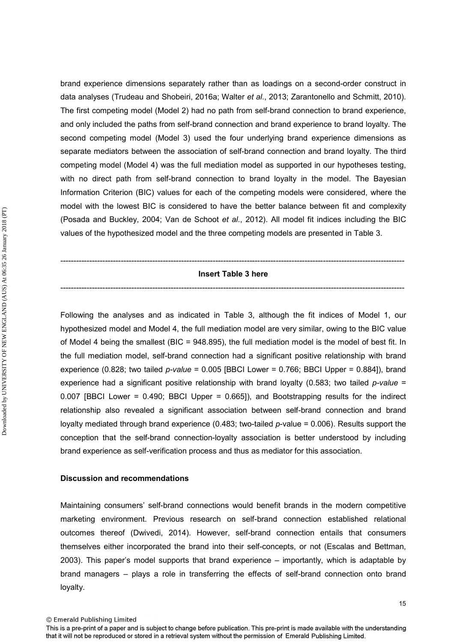brand experience dimensions separately rather than as loadings on a second-order construct in data analyses (Trudeau and Shobeiri, 2016a; Walter *et al*., 2013; Zarantonello and Schmitt, 2010). The first competing model (Model 2) had no path from self-brand connection to brand experience, and only included the paths from self-brand connection and brand experience to brand loyalty. The second competing model (Model 3) used the four underlying brand experience dimensions as separate mediators between the association of self-brand connection and brand loyalty. The third competing model (Model 4) was the full mediation model as supported in our hypotheses testing, with no direct path from self-brand connection to brand loyalty in the model. The Bayesian Information Criterion (BIC) values for each of the competing models were considered, where the model with the lowest BIC is considered to have the better balance between fit and complexity (Posada and Buckley, 2004; Van de Schoot *et al*., 2012). All model fit indices including the BIC values of the hypothesized model and the three competing models are presented in Table 3.

## ----------------------------------------------------------------------------------------------------------------------------------- **Insert Table 3 here**  -----------------------------------------------------------------------------------------------------------------------------------

Following the analyses and as indicated in Table 3, although the fit indices of Model 1, our hypothesized model and Model 4, the full mediation model are very similar, owing to the BIC value of Model 4 being the smallest (BIC = 948.895), the full mediation model is the model of best fit. In the full mediation model, self-brand connection had a significant positive relationship with brand experience (0.828; two tailed *p-value* = 0.005 [BBCI Lower = 0.766; BBCI Upper = 0.884]), brand experience had a significant positive relationship with brand loyalty (0.583; two tailed *p-value* = 0.007 [BBCI Lower = 0.490; BBCI Upper = 0.665]), and Bootstrapping results for the indirect relationship also revealed a significant association between self-brand connection and brand loyalty mediated through brand experience (0.483; two-tailed *p*-value = 0.006). Results support the conception that the self-brand connection-loyalty association is better understood by including brand experience as self-verification process and thus as mediator for this association.

## **Discussion and recommendations**

Maintaining consumers' self-brand connections would benefit brands in the modern competitive marketing environment. Previous research on self-brand connection established relational outcomes thereof (Dwivedi, 2014). However, self-brand connection entails that consumers themselves either incorporated the brand into their self-concepts, or not (Escalas and Bettman, 2003). This paper's model supports that brand experience – importantly, which is adaptable by brand managers – plays a role in transferring the effects of self-brand connection onto brand loyalty.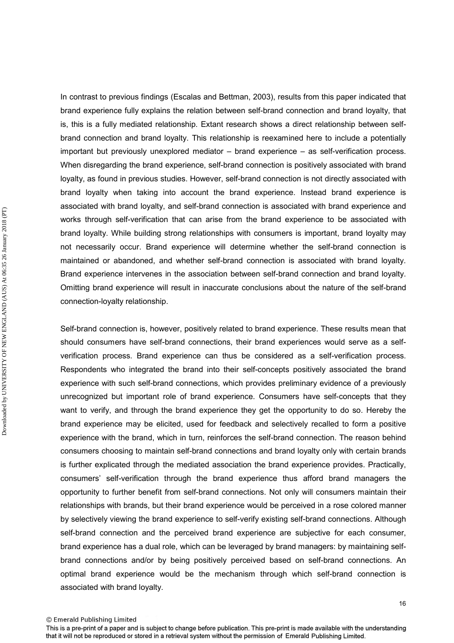In contrast to previous findings (Escalas and Bettman, 2003), results from this paper indicated that brand experience fully explains the relation between self-brand connection and brand loyalty, that is, this is a fully mediated relationship. Extant research shows a direct relationship between selfbrand connection and brand loyalty. This relationship is reexamined here to include a potentially important but previously unexplored mediator – brand experience – as self-verification process. When disregarding the brand experience, self-brand connection is positively associated with brand loyalty, as found in previous studies. However, self-brand connection is not directly associated with brand loyalty when taking into account the brand experience. Instead brand experience is associated with brand loyalty, and self-brand connection is associated with brand experience and works through self-verification that can arise from the brand experience to be associated with brand loyalty. While building strong relationships with consumers is important, brand loyalty may not necessarily occur. Brand experience will determine whether the self-brand connection is maintained or abandoned, and whether self-brand connection is associated with brand loyalty. Brand experience intervenes in the association between self-brand connection and brand loyalty. Omitting brand experience will result in inaccurate conclusions about the nature of the self-brand connection-loyalty relationship.

Self-brand connection is, however, positively related to brand experience. These results mean that should consumers have self-brand connections, their brand experiences would serve as a selfverification process. Brand experience can thus be considered as a self-verification process. Respondents who integrated the brand into their self-concepts positively associated the brand experience with such self-brand connections, which provides preliminary evidence of a previously unrecognized but important role of brand experience. Consumers have self-concepts that they want to verify, and through the brand experience they get the opportunity to do so. Hereby the brand experience may be elicited, used for feedback and selectively recalled to form a positive experience with the brand, which in turn, reinforces the self-brand connection. The reason behind consumers choosing to maintain self-brand connections and brand loyalty only with certain brands is further explicated through the mediated association the brand experience provides. Practically, consumers' self-verification through the brand experience thus afford brand managers the opportunity to further benefit from self-brand connections. Not only will consumers maintain their relationships with brands, but their brand experience would be perceived in a rose colored manner by selectively viewing the brand experience to self-verify existing self-brand connections. Although self-brand connection and the perceived brand experience are subjective for each consumer, brand experience has a dual role, which can be leveraged by brand managers: by maintaining selfbrand connections and/or by being positively perceived based on self-brand connections. An optimal brand experience would be the mechanism through which self-brand connection is associated with brand loyalty.

<sup>©</sup> Emerald Publishing Limited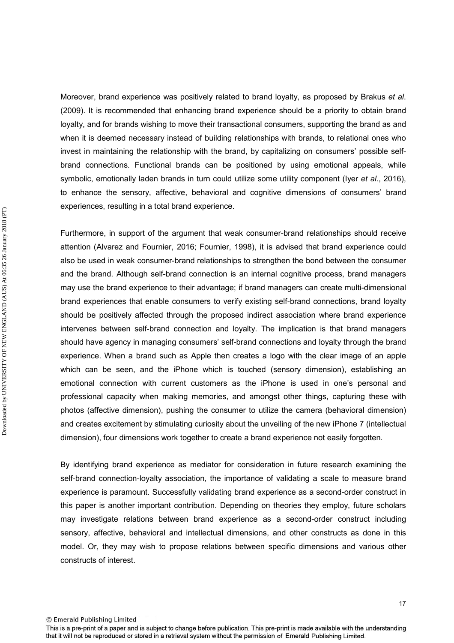Moreover, brand experience was positively related to brand loyalty, as proposed by Brakus *et al*. (2009). It is recommended that enhancing brand experience should be a priority to obtain brand loyalty, and for brands wishing to move their transactional consumers, supporting the brand as and when it is deemed necessary instead of building relationships with brands, to relational ones who invest in maintaining the relationship with the brand, by capitalizing on consumers' possible selfbrand connections. Functional brands can be positioned by using emotional appeals, while symbolic, emotionally laden brands in turn could utilize some utility component (Iyer *et al*., 2016), to enhance the sensory, affective, behavioral and cognitive dimensions of consumers' brand experiences, resulting in a total brand experience.

Furthermore, in support of the argument that weak consumer-brand relationships should receive attention (Alvarez and Fournier, 2016; Fournier, 1998), it is advised that brand experience could also be used in weak consumer-brand relationships to strengthen the bond between the consumer and the brand. Although self-brand connection is an internal cognitive process, brand managers may use the brand experience to their advantage; if brand managers can create multi-dimensional brand experiences that enable consumers to verify existing self-brand connections, brand loyalty should be positively affected through the proposed indirect association where brand experience intervenes between self-brand connection and loyalty. The implication is that brand managers should have agency in managing consumers' self-brand connections and loyalty through the brand experience. When a brand such as Apple then creates a logo with the clear image of an apple which can be seen, and the iPhone which is touched (sensory dimension), establishing an emotional connection with current customers as the iPhone is used in one's personal and professional capacity when making memories, and amongst other things, capturing these with photos (affective dimension), pushing the consumer to utilize the camera (behavioral dimension) and creates excitement by stimulating curiosity about the unveiling of the new iPhone 7 (intellectual dimension), four dimensions work together to create a brand experience not easily forgotten.

By identifying brand experience as mediator for consideration in future research examining the self-brand connection-loyalty association, the importance of validating a scale to measure brand experience is paramount. Successfully validating brand experience as a second-order construct in this paper is another important contribution. Depending on theories they employ, future scholars may investigate relations between brand experience as a second-order construct including sensory, affective, behavioral and intellectual dimensions, and other constructs as done in this model. Or, they may wish to propose relations between specific dimensions and various other constructs of interest.

17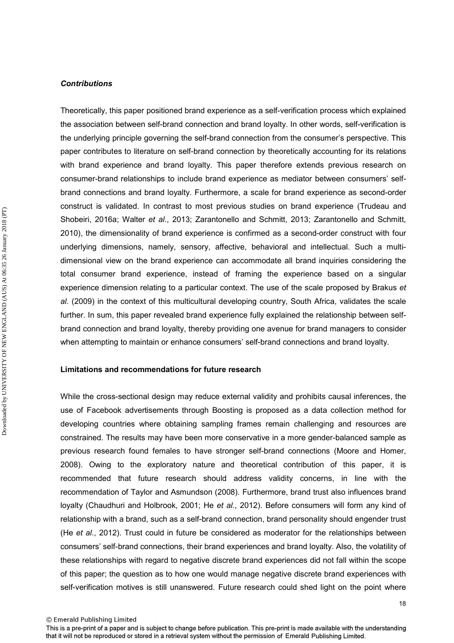#### *Contributions*

Theoretically, this paper positioned brand experience as a self-verification process which explained the association between self-brand connection and brand loyalty. In other words, self-verification is the underlying principle governing the self-brand connection from the consumer's perspective. This paper contributes to literature on self-brand connection by theoretically accounting for its relations with brand experience and brand loyalty. This paper therefore extends previous research on consumer-brand relationships to include brand experience as mediator between consumers' selfbrand connections and brand loyalty. Furthermore, a scale for brand experience as second-order construct is validated. In contrast to most previous studies on brand experience (Trudeau and Shobeiri, 2016a; Walter *et al*., 2013; Zarantonello and Schmitt, 2013; Zarantonello and Schmitt, 2010), the dimensionality of brand experience is confirmed as a second-order construct with four underlying dimensions, namely, sensory, affective, behavioral and intellectual. Such a multidimensional view on the brand experience can accommodate all brand inquiries considering the total consumer brand experience, instead of framing the experience based on a singular experience dimension relating to a particular context. The use of the scale proposed by Brakus *et al*. (2009) in the context of this multicultural developing country, South Africa, validates the scale further. In sum, this paper revealed brand experience fully explained the relationship between selfbrand connection and brand loyalty, thereby providing one avenue for brand managers to consider when attempting to maintain or enhance consumers' self-brand connections and brand loyalty.

## **Limitations and recommendations for future research**

While the cross-sectional design may reduce external validity and prohibits causal inferences, the use of Facebook advertisements through Boosting is proposed as a data collection method for developing countries where obtaining sampling frames remain challenging and resources are constrained. The results may have been more conservative in a more gender-balanced sample as previous research found females to have stronger self-brand connections (Moore and Homer, 2008). Owing to the exploratory nature and theoretical contribution of this paper, it is recommended that future research should address validity concerns, in line with the recommendation of Taylor and Asmundson (2008). Furthermore, brand trust also influences brand loyalty (Chaudhuri and Holbrook, 2001; He *et al*., 2012). Before consumers will form any kind of relationship with a brand, such as a self-brand connection, brand personality should engender trust (He *et al*., 2012). Trust could in future be considered as moderator for the relationships between consumers' self-brand connections, their brand experiences and brand loyalty. Also, the volatility of these relationships with regard to negative discrete brand experiences did not fall within the scope of this paper; the question as to how one would manage negative discrete brand experiences with self-verification motives is still unanswered. Future research could shed light on the point where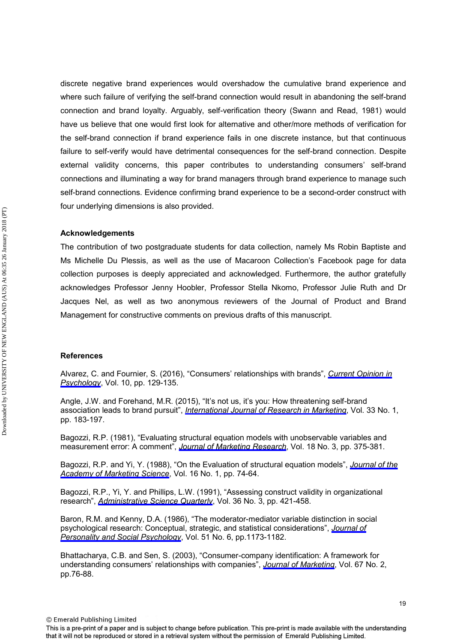discrete negative brand experiences would overshadow the cumulative brand experience and where such failure of verifying the self-brand connection would result in abandoning the self-brand connection and brand loyalty. Arguably, self-verification theory (Swann and Read, 1981) would have us believe that one would first look for alternative and other/more methods of verification for the self-brand connection if brand experience fails in one discrete instance, but that continuous failure to self-verify would have detrimental consequences for the self-brand connection. Despite external validity concerns, this paper contributes to understanding consumers' self-brand connections and illuminating a way for brand managers through brand experience to manage such self-brand connections. Evidence confirming brand experience to be a second-order construct with four underlying dimensions is also provided.

## **Acknowledgements**

The contribution of two postgraduate students for data collection, namely Ms Robin Baptiste and Ms Michelle Du Plessis, as well as the use of Macaroon Collection's Facebook page for data collection purposes is deeply appreciated and acknowledged. Furthermore, the author gratefully acknowledges Professor Jenny Hoobler, Professor Stella Nkomo, Professor Julie Ruth and Dr Jacques Nel, as well as two anonymous reviewers of the Journal of Product and Brand Management for constructive comments on previous drafts of this manuscript.

## **References**

Alvarez, C. and Fournier, S. (2016), "Consumers' relationships with brands", *[Current Opinion in](http://www.emeraldinsight.com/action/showLinks?doi=10.1108%2FJPBM-07-2016-1281&crossref=10.1016%2Fj.copsyc.2015.12.017&isi=000386878800025&citationId=p_1)  [Psychology](http://www.emeraldinsight.com/action/showLinks?doi=10.1108%2FJPBM-07-2016-1281&crossref=10.1016%2Fj.copsyc.2015.12.017&isi=000386878800025&citationId=p_1)*, Vol. 10, pp. 129-135.

Angle, J.W. and Forehand, M.R. (2015), "It's not us, it's you: How threatening self-brand association leads to brand pursuit", *[International Journal of Research in Marketing](http://www.emeraldinsight.com/action/showLinks?doi=10.1108%2FJPBM-07-2016-1281&crossref=10.1016%2Fj.ijresmar.2015.08.003&isi=000376056200014&citationId=p_2)*, Vol. 33 No. 1, pp. 183-197.

Bagozzi, R.P. (1981), "Evaluating structural equation models with unobservable variables and measurement error: A comment", *[Journal of Marketing Research](http://www.emeraldinsight.com/action/showLinks?doi=10.1108%2FJPBM-07-2016-1281&crossref=10.2307%2F3150979&isi=A1981MF19500012&citationId=p_3)*, Vol. 18 No. 3, pp. 375-381.

Bagozzi, R.P. and Yi, Y. (1988), "On the Evaluation of structural equation models", *[Journal of the](http://www.emeraldinsight.com/action/showLinks?doi=10.1108%2FJPBM-07-2016-1281&crossref=10.1007%2FBF02723327&citationId=p_4) [Academy of Marketing Science](http://www.emeraldinsight.com/action/showLinks?doi=10.1108%2FJPBM-07-2016-1281&crossref=10.1007%2FBF02723327&citationId=p_4)*, Vol. 16 No. 1, pp. 74-64.

Bagozzi, R.P., Yi, Y. and Phillips, L.W. (1991), "Assessing construct validity in organizational research", *[Administrative Science Quarterly](http://www.emeraldinsight.com/action/showLinks?doi=10.1108%2FJPBM-07-2016-1281&crossref=10.2307%2F2393203&isi=A1991GF61700004&citationId=p_5)*, Vol. 36 No. 3, pp. 421-458.

Baron, R.M. and Kenny, D.A. (1986), "The moderator-mediator variable distinction in social psychological research: Conceptual, strategic, and statistical considerations", *[Journal of](http://www.emeraldinsight.com/action/showLinks?doi=10.1108%2FJPBM-07-2016-1281&crossref=10.1037%2F0022-3514.51.6.1173&isi=A1986F285400010&citationId=p_6)  [Personality and Social Psychology](http://www.emeraldinsight.com/action/showLinks?doi=10.1108%2FJPBM-07-2016-1281&crossref=10.1037%2F0022-3514.51.6.1173&isi=A1986F285400010&citationId=p_6)*, Vol. 51 No. 6, pp.1173-1182.

Bhattacharya, C.B. and Sen, S. (2003), "Consumer-company identification: A framework for understanding consumers' relationships with companies", *[Journal of Marketing](http://www.emeraldinsight.com/action/showLinks?doi=10.1108%2FJPBM-07-2016-1281&crossref=10.1509%2Fjmkg.67.2.76.18609&isi=000182091900006&citationId=p_7)*, Vol. 67 No. 2, pp.76-88.

© Emerald Publishing Limited

19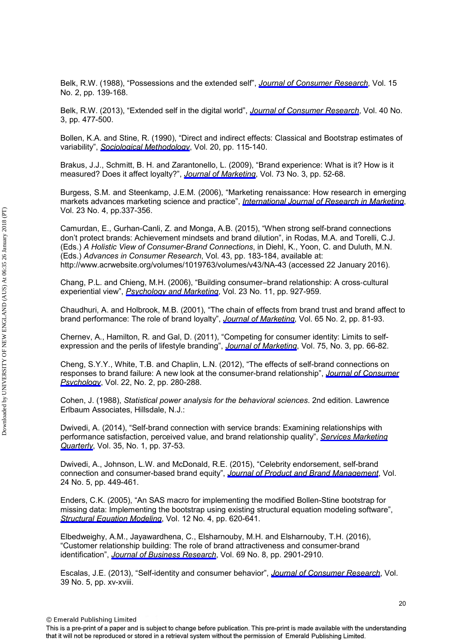Belk, R.W. (1988), "Possessions and the extended self", *[Journal of Consumer Research](http://www.emeraldinsight.com/action/showLinks?doi=10.1108%2FJPBM-07-2016-1281&crossref=10.1086%2F209154&isi=A1988Q202300001&citationId=p_8)*, Vol. 15 No. 2, pp. 139-168.

Belk, R.W. (2013), "Extended self in the digital world", *[Journal of Consumer Research](http://www.emeraldinsight.com/action/showLinks?doi=10.1108%2FJPBM-07-2016-1281&crossref=10.1086%2F671052&isi=000331701600006&citationId=p_9)*, Vol. 40 No. 3, pp. 477-500.

Bollen, K.A. and Stine, R. (1990), "Direct and indirect effects: Classical and Bootstrap estimates of variability", *[Sociological Methodology](http://www.emeraldinsight.com/action/showLinks?doi=10.1108%2FJPBM-07-2016-1281&crossref=10.2307%2F271084&citationId=p_10)*, Vol. 20, pp. 115-140.

Brakus, J.J., Schmitt, B. H. and Zarantonello, L. (2009), "Brand experience: What is it? How is it measured? Does it affect loyalty?", *[Journal of Marketing](http://www.emeraldinsight.com/action/showLinks?doi=10.1108%2FJPBM-07-2016-1281&crossref=10.1509%2Fjmkg.73.3.52&isi=000265271100004&citationId=p_11)*, Vol. 73 No. 3, pp. 52-68.

Burgess, S.M. and Steenkamp, J.E.M. (2006), "Marketing renaissance: How research in emerging markets advances marketing science and practice", *[International Journal of Research in Marketing](http://www.emeraldinsight.com/action/showLinks?doi=10.1108%2FJPBM-07-2016-1281&crossref=10.1016%2Fj.ijresmar.2006.08.001&isi=000243241200002&citationId=p_12)*, Vol. 23 No. 4, pp.337-356.

Camurdan, E., Gurhan-Canli, Z. and Monga, A.B. (2015), "When strong self-brand connections don't protect brands: Achievement mindsets and brand dilution", in Rodas, M.A. and Torelli, C.J. (Eds.) *A Holistic View of Consumer-Brand Connections*, in Diehl, K., Yoon, C. and Duluth, M.N. (Eds.) *Advances in Consumer Research*, Vol. 43, pp. 183-184, available at: http://www.acrwebsite.org/volumes/1019763/volumes/v43/NA-43 (accessed 22 January 2016).

Chang, P.L. and Chieng, M.H. (2006), "Building consumer–brand relationship: A cross‐cultural experiential view", *[Psychology and Marketing](http://www.emeraldinsight.com/action/showLinks?doi=10.1108%2FJPBM-07-2016-1281&crossref=10.1002%2Fmar.20140&isi=000241533200003&citationId=p_14)*, Vol. 23 No. 11, pp. 927-959.

Chaudhuri, A. and Holbrook, M.B. (2001), "The chain of effects from brand trust and brand affect to brand performance: The role of brand loyalty", *[Journal of Marketing](http://www.emeraldinsight.com/action/showLinks?doi=10.1108%2FJPBM-07-2016-1281&crossref=10.1509%2Fjmkg.65.2.81.18255&isi=000167974900006&citationId=p_15)*, Vol. 65 No. 2, pp. 81-93.

Chernev, A., Hamilton, R. and Gal, D. (2011), "Competing for consumer identity: Limits to selfexpression and the perils of lifestyle branding", *[Journal of Marketing](http://www.emeraldinsight.com/action/showLinks?doi=10.1108%2FJPBM-07-2016-1281&crossref=10.1509%2Fjmkg.75.3.66&isi=000289916900007&citationId=p_16)*, Vol. 75, No. 3, pp. 66-82.

Cheng, S.Y.Y., White, T.B. and Chaplin, L.N. (2012), "The effects of self-brand connections on responses to brand failure: A new look at the consumer-brand relationship", *[Journal of Consumer](http://www.emeraldinsight.com/action/showLinks?doi=10.1108%2FJPBM-07-2016-1281&crossref=10.1016%2Fj.jcps.2011.05.005&isi=000304383000015&citationId=p_17)  [Psychology](http://www.emeraldinsight.com/action/showLinks?doi=10.1108%2FJPBM-07-2016-1281&crossref=10.1016%2Fj.jcps.2011.05.005&isi=000304383000015&citationId=p_17)*, Vol. 22, No. 2, pp. 280-288.

Cohen, J. (1988), *Statistical power analysis for the behavioral sciences*. 2nd edition. Lawrence Erlbaum Associates, Hillsdale, N.J.:

Dwivedi, A. (2014), "Self-brand connection with service brands: Examining relationships with performance satisfaction, perceived value, and brand relationship quality", *[Services Marketing](http://www.emeraldinsight.com/action/showLinks?doi=10.1108%2FJPBM-07-2016-1281&crossref=10.1080%2F15332969.2014.856738&citationId=p_19) [Quarterly](http://www.emeraldinsight.com/action/showLinks?doi=10.1108%2FJPBM-07-2016-1281&crossref=10.1080%2F15332969.2014.856738&citationId=p_19)*, Vol. 35, No. 1, pp. 37-53.

Dwivedi, A., Johnson, L.W. and McDonald, R.E. (2015), "Celebrity endorsement, self-brand connection and consumer-based brand equity", *[Journal of Product and Brand Management](http://www.emeraldinsight.com/action/showLinks?doi=10.1108%2FJPBM-07-2016-1281&system=10.1108%2FJPBM-10-2014-0722&isi=000360578400003&citationId=p_20)*, Vol. 24 No. 5, pp. 449-461.

Enders, C.K. (2005), "An SAS macro for implementing the modified Bollen-Stine bootstrap for missing data: Implementing the bootstrap using existing structural equation modeling software", *[Structural Equation Modeling](http://www.emeraldinsight.com/action/showLinks?doi=10.1108%2FJPBM-07-2016-1281&crossref=10.1207%2Fs15328007sem1204_6&isi=000232987200006&citationId=p_21)*, Vol. 12 No. 4, pp. 620-641.

Elbedweighy, A.M., Jayawardhena, C., Elsharnouby, M.H. and Elsharnouby, T.H. (2016), "Customer relationship building: The role of brand attractiveness and consumer-brand identification", *[Journal of Business Research](http://www.emeraldinsight.com/action/showLinks?doi=10.1108%2FJPBM-07-2016-1281&crossref=10.1016%2Fj.jbusres.2015.12.059&isi=000377726600030&citationId=p_22)*, Vol. 69 No. 8, pp. 2901-2910.

Escalas, J.E. (2013), "Self-identity and consumer behavior", *[Journal of Consumer Research](http://www.emeraldinsight.com/action/showLinks?doi=10.1108%2FJPBM-07-2016-1281&crossref=10.1086%2F669165&isi=000314099700015&citationId=p_23)*, Vol. 39 No. 5, pp. xv-xviii.

© Emerald Publishing Limited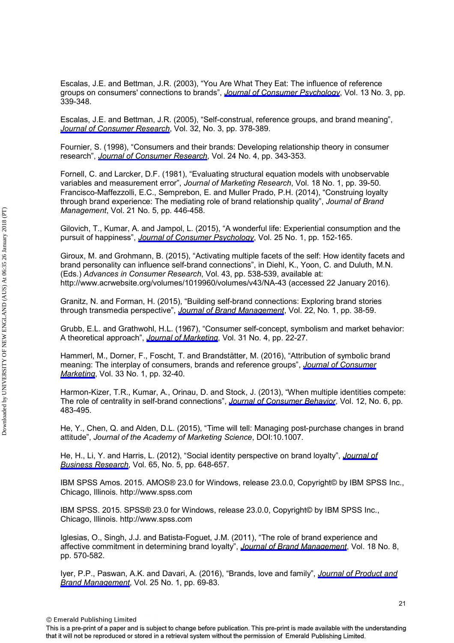Escalas, J.E. and Bettman, J.R. (2003), "You Are What They Eat: The influence of reference groups on consumers' connections to brands", *[Journal of Consumer Psychology](http://www.emeraldinsight.com/action/showLinks?doi=10.1108%2FJPBM-07-2016-1281&crossref=10.1207%2FS15327663JCP1303_14&isi=000185154900014&citationId=p_24)*, Vol. 13 No. 3, pp. 339-348.

Escalas, J.E. and Bettman, J.R. (2005), "Self-construal, reference groups, and brand meaning", *[Journal of Consumer Research](http://www.emeraldinsight.com/action/showLinks?doi=10.1108%2FJPBM-07-2016-1281&crossref=10.1086%2F497549&isi=000233577100005&citationId=p_25)*, Vol. 32, No. 3, pp. 378-389.

Fournier, S. (1998), "Consumers and their brands: Developing relationship theory in consumer research", *Journal of [Consumer Research](http://www.emeraldinsight.com/action/showLinks?doi=10.1108%2FJPBM-07-2016-1281&crossref=10.1086%2F209515&isi=000072403100001&citationId=p_26)*, Vol. 24 No. 4, pp. 343-353.

Fornell, C. and Larcker, D.F. (1981), "Evaluating structural equation models with unobservable variables and measurement error", *Journal of Marketing Research*, Vol. 18 No. 1, pp. 39-50. Francisco-Maffezzolli, E.C., Semprebon, E. and Muller Prado, P.H. (2014), "Construing loyalty through brand experience: The mediating role of brand relationship quality", *Journal of Brand Management*, Vol. 21 No. 5, pp. 446-458.

Gilovich, T., Kumar, A. and Jampol, L. (2015), "A wonderful life: Experiential consumption and the pursuit of happiness", *[Journal of Consumer Psychology](http://www.emeraldinsight.com/action/showLinks?doi=10.1108%2FJPBM-07-2016-1281&crossref=10.1016%2Fj.jcps.2014.08.004&isi=000348487000013&citationId=p_28)*, Vol. 25 No. 1, pp. 152-165.

Giroux, M. and Grohmann, B. (2015), "Activating multiple facets of the self: How identity facets and brand personality can influence self-brand connections", in Diehl, K., Yoon, C. and Duluth, M.N. (Eds.) *Advances in Consumer Research*, Vol. 43, pp. 538-539, available at: http://www.acrwebsite.org/volumes/1019960/volumes/v43/NA-43 (accessed 22 January 2016).

Granitz, N. and Forman, H. (2015), "Building self-brand connections: Exploring brand stories through transmedia perspective", *[Journal of Brand Management](http://www.emeraldinsight.com/action/showLinks?doi=10.1108%2FJPBM-07-2016-1281&crossref=10.1057%2Fbm.2015.1&isi=000365353700003&citationId=p_30)*, Vol. 22, No. 1, pp. 38-59.

Grubb, E.L. and Grathwohl, H.L. (1967), "Consumer self-concept, symbolism and market behavior: A theoretical approach", *[Journal of Marketing](http://www.emeraldinsight.com/action/showLinks?doi=10.1108%2FJPBM-07-2016-1281&crossref=10.2307%2F1249461&isi=A1967ZD52100005&citationId=p_31)*, Vol. 31 No. 4, pp. 22-27.

Hammerl, M., Dorner, F., Foscht, T. and Brandstätter, M. (2016), "Attribution of symbolic brand meaning: The interplay of consumers, brands and reference groups", *[Journal of Consumer](http://www.emeraldinsight.com/action/showLinks?doi=10.1108%2FJPBM-07-2016-1281&system=10.1108%2FJCM-12-2014-1243&isi=000370148200004&citationId=p_32) [Marketing](http://www.emeraldinsight.com/action/showLinks?doi=10.1108%2FJPBM-07-2016-1281&system=10.1108%2FJCM-12-2014-1243&isi=000370148200004&citationId=p_32)*, Vol. 33 No. 1, pp. 32-40.

Harmon-Kizer, T.R., Kumar, A., Orinau, D. and Stock, J. (2013), "When multiple identities compete: The role of centrality in self-brand connections", *[Journal of Consumer Behavior](http://www.emeraldinsight.com/action/showLinks?doi=10.1108%2FJPBM-07-2016-1281&crossref=10.1002%2Fcb.1449&isi=000327221000006&citationId=p_33)*, Vol. 12, No. 6, pp. 483-495.

He, Y., Chen, Q. and Alden, D.L. (2015), "Time will tell: Managing post-purchase changes in brand attitude", *Journal of the Academy of Marketing Science*, DOI:10.1007.

He, H., Li, Y. and Harris, L. (2012), "Social identity perspective on brand loyalty", *[Journal of](http://www.emeraldinsight.com/action/showLinks?doi=10.1108%2FJPBM-07-2016-1281&crossref=10.1016%2Fj.jbusres.2011.03.007&isi=000302001300010&citationId=p_35)  [Business Research](http://www.emeraldinsight.com/action/showLinks?doi=10.1108%2FJPBM-07-2016-1281&crossref=10.1016%2Fj.jbusres.2011.03.007&isi=000302001300010&citationId=p_35)*, Vol. 65, No. 5, pp. 648-657.

IBM SPSS Amos. 2015. AMOS® 23.0 for Windows, release 23.0.0, Copyright© by IBM SPSS Inc., Chicago, Illinois. http://www.spss.com

IBM SPSS. 2015. SPSS® 23.0 for Windows, release 23.0.0, Copyright© by IBM SPSS Inc., Chicago, Illinois. http://www.spss.com

Iglesias, O., Singh, J.J. and Batista-Foguet, J.M. (2011), "The role of brand experience and affective commitment in determining brand loyalty", *[Journal of Brand Management](http://www.emeraldinsight.com/action/showLinks?doi=10.1108%2FJPBM-07-2016-1281&crossref=10.1057%2Fbm.2010.58&citationId=p_38)*, Vol. 18 No. 8, pp. 570-582.

Iyer, P.P., Paswan, A.K. and Davari, A. (2016), "Brands, love and family", *[Journal of Product and](http://www.emeraldinsight.com/action/showLinks?doi=10.1108%2FJPBM-07-2016-1281&system=10.1108%2FJPBM-08-2014-0695&isi=000374182300007&citationId=p_39)  [Brand Management](http://www.emeraldinsight.com/action/showLinks?doi=10.1108%2FJPBM-07-2016-1281&system=10.1108%2FJPBM-08-2014-0695&isi=000374182300007&citationId=p_39)*, Vol. 25 No. 1, pp. 69-83.

© Emerald Publishing Limited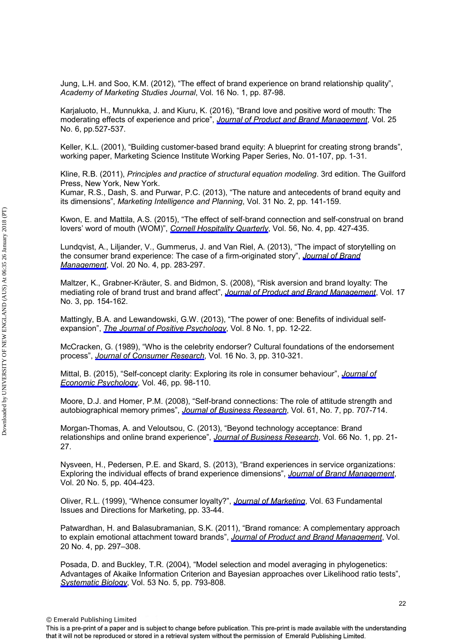Jung, L.H. and Soo, K.M. (2012), "The effect of brand experience on brand relationship quality", *Academy of Marketing Studies Journal*, Vol. 16 No. 1, pp. 87-98.

Karjaluoto, H., Munnukka, J. and Kiuru, K. (2016), "Brand love and positive word of mouth: The moderating effects of experience and price", *[Journal of Product and Brand Management](http://www.emeraldinsight.com/action/showLinks?doi=10.1108%2FJPBM-07-2016-1281&system=10.1108%2FJPBM-03-2015-0834&isi=000384906900004&citationId=p_41)*, Vol. 25 No. 6, pp.527-537.

Keller, K.L. (2001), "Building customer-based brand equity: A blueprint for creating strong brands", working paper, Marketing Science Institute Working Paper Series, No. 01-107, pp. 1-31.

Kline, R.B. (2011), *Principles and practice of structural equation modeling*. 3rd edition. The Guilford Press, New York, New York.

Kumar, R.S., Dash, S. and Purwar, P.C. (2013), "The nature and antecedents of brand equity and its dimensions", *Marketing Intelligence and Planning*, Vol. 31 No. 2, pp. 141-159.

Kwon, E. and Mattila, A.S. (2015), "The effect of self-brand connection and self-construal on brand lovers' word of mouth (WOM)", *[Cornell Hospitality Quarterly](http://www.emeraldinsight.com/action/showLinks?doi=10.1108%2FJPBM-07-2016-1281&crossref=10.1177%2F1938965514566071&isi=000362644100009&citationId=p_44)*, Vol. 56, No. 4, pp. 427-435.

Lundqvist, A., Liljander, V., Gummerus, J. and Van Riel, A. (2013), "The impact of storytelling on the consumer brand experience: The case of a firm-originated story", *[Journal of Brand](http://www.emeraldinsight.com/action/showLinks?doi=10.1108%2FJPBM-07-2016-1281&crossref=10.1057%2Fbm.2012.15&citationId=p_45) [Management](http://www.emeraldinsight.com/action/showLinks?doi=10.1108%2FJPBM-07-2016-1281&crossref=10.1057%2Fbm.2012.15&citationId=p_45)*, Vol. 20 No. 4, pp. 283-297.

Maltzer, K., Grabner-Kräuter, S. and Bidmon, S. (2008), "Risk aversion and brand loyalty: The mediating role of brand trust and brand affect", *[Journal of Product and Brand Management](http://www.emeraldinsight.com/action/showLinks?doi=10.1108%2FJPBM-07-2016-1281&system=10.1108%2F10610420810875070&citationId=p_46)*, Vol. 17 No. 3, pp. 154-162.

Mattingly, B.A. and Lewandowski, G.W. (2013), "The power of one: Benefits of individual selfexpansion", *[The Journal of Positive Psychology](http://www.emeraldinsight.com/action/showLinks?doi=10.1108%2FJPBM-07-2016-1281&crossref=10.1080%2F17439760.2012.746999&isi=000313626500002&citationId=p_47)*, Vol. 8 No. 1, pp. 12-22.

McCracken, G. (1989), "Who is the celebrity endorser? Cultural foundations of the endorsement process", *[Journal of Consumer Research](http://www.emeraldinsight.com/action/showLinks?doi=10.1108%2FJPBM-07-2016-1281&crossref=10.1086%2F209217&isi=A1989CN82800005&citationId=p_48)*, Vol. 16 No. 3, pp. 310-321.

Mittal, B. (2015), "Self-concept clarity: Exploring its role in consumer behaviour", *[Journal of](http://www.emeraldinsight.com/action/showLinks?doi=10.1108%2FJPBM-07-2016-1281&crossref=10.1016%2Fj.joep.2014.11.003&isi=000349501600009&citationId=p_49) [Economic Psychology](http://www.emeraldinsight.com/action/showLinks?doi=10.1108%2FJPBM-07-2016-1281&crossref=10.1016%2Fj.joep.2014.11.003&isi=000349501600009&citationId=p_49)*, Vol. 46, pp. 98-110.

Moore, D.J. and Homer, P.M. (2008), "Self-brand connections: The role of attitude strength and autobiographical memory primes", *[Journal of Business Research](http://www.emeraldinsight.com/action/showLinks?doi=10.1108%2FJPBM-07-2016-1281&crossref=10.1016%2Fj.jbusres.2007.09.002&isi=000255994400001&citationId=p_50)*, Vol. 61, No. 7, pp. 707-714.

Morgan-Thomas, A. and Veloutsou, C. (2013), "Beyond technology acceptance: Brand relationships and online brand experience", *[Journal of Business Research](http://www.emeraldinsight.com/action/showLinks?doi=10.1108%2FJPBM-07-2016-1281&crossref=10.1016%2Fj.jbusres.2011.07.019&isi=000313608200004&citationId=p_51)*, Vol. 66 No. 1, pp. 21- 27.

Nysveen, H., Pedersen, P.E. and Skard, S. (2013), "Brand experiences in service organizations: Exploring the individual effects of brand experience dimensions", *[Journal of Brand Management](http://www.emeraldinsight.com/action/showLinks?doi=10.1108%2FJPBM-07-2016-1281&crossref=10.1057%2Fbm.2012.31&citationId=p_52)*, Vol. 20 No. 5, pp. 404-423.

Oliver, R.L. (1999), "Whence consumer loyalty?", *[Journal of Marketing](http://www.emeraldinsight.com/action/showLinks?doi=10.1108%2FJPBM-07-2016-1281&crossref=10.2307%2F1252099&isi=000083485900005&citationId=p_53)*, Vol. 63 Fundamental Issues and Directions for Marketing, pp. 33-44.

Patwardhan, H. and Balasubramanian, S.K. (2011), "Brand romance: A complementary approach to explain emotional attachment toward brands", *[Journal of Product and Brand Management](http://www.emeraldinsight.com/action/showLinks?doi=10.1108%2FJPBM-07-2016-1281&system=10.1108%2F10610421111148315&citationId=p_54)*, Vol. 20 No. 4, pp. 297–308.

Posada, D. and Buckley, T.R. (2004), "Model selection and model averaging in phylogenetics: Advantages of Akaike Information Criterion and Bayesian approaches over Likelihood ratio tests", *[Systematic Biology](http://www.emeraldinsight.com/action/showLinks?doi=10.1108%2FJPBM-07-2016-1281&crossref=10.1080%2F10635150490522304&isi=000224960100009&citationId=p_55)*, Vol. 53 No. 5, pp. 793-808.

© Emerald Publishing Limited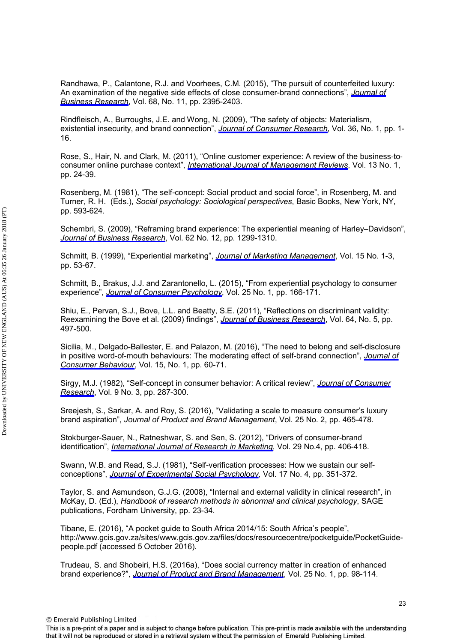Randhawa, P., Calantone, R.J. and Voorhees, C.M. (2015), "The pursuit of counterfeited luxury: An examination of the negative side effects of close consumer-brand connections", *[Journal of](http://www.emeraldinsight.com/action/showLinks?doi=10.1108%2FJPBM-07-2016-1281&crossref=10.1016%2Fj.jbusres.2015.02.022&isi=000362138900027&citationId=p_56)  [Business Research](http://www.emeraldinsight.com/action/showLinks?doi=10.1108%2FJPBM-07-2016-1281&crossref=10.1016%2Fj.jbusres.2015.02.022&isi=000362138900027&citationId=p_56)*, Vol. 68, No. 11, pp. 2395-2403.

Rindfleisch, A., Burroughs, J.E. and Wong, N. (2009), "The safety of objects: Materialism, existential insecurity, and brand connection", *[Journal of Consumer Research](http://www.emeraldinsight.com/action/showLinks?doi=10.1108%2FJPBM-07-2016-1281&crossref=10.1086%2F595718&isi=000265388900001&citationId=p_57)*, Vol. 36, No. 1, pp. 1- 16.

Rose, S., Hair, N. and Clark, M. (2011), "Online customer experience: A review of the business‐to‐ consumer online purchase context", *[International Journal of Management Reviews](http://www.emeraldinsight.com/action/showLinks?doi=10.1108%2FJPBM-07-2016-1281&crossref=10.1111%2Fj.1468-2370.2010.00280.x&isi=000286475600002&citationId=p_58)*, Vol. 13 No. 1, pp. 24-39.

Rosenberg, M. (1981), "The self-concept: Social product and social force", in Rosenberg, M. and Turner, R. H. (Eds.), *Social psychology: Sociological perspectives*, Basic Books, New York, NY, pp. 593-624.

Schembri, S. (2009), "Reframing brand experience: The experiential meaning of Harley–Davidson", *[Journal of Business Research](http://www.emeraldinsight.com/action/showLinks?doi=10.1108%2FJPBM-07-2016-1281&crossref=10.1016%2Fj.jbusres.2008.11.004&isi=000271667200008&citationId=p_60)*, Vol. 62 No. 12, pp. 1299-1310.

Schmitt, B. (1999), "Experiential marketing", *[Journal of Marketing Management](http://www.emeraldinsight.com/action/showLinks?doi=10.1108%2FJPBM-07-2016-1281&crossref=10.1362%2F026725799784870496&citationId=p_61)*, Vol. 15 No. 1-3, pp. 53-67.

Schmitt, B., Brakus, J.J. and Zarantonello, L. (2015), "From experiential psychology to consumer experience", *[Journal of Consumer Psychology](http://www.emeraldinsight.com/action/showLinks?doi=10.1108%2FJPBM-07-2016-1281&crossref=10.1016%2Fj.jcps.2014.09.001&isi=000348487000014&citationId=p_62)*, Vol. 25 No. 1, pp. 166-171.

Shiu, E., Pervan, S.J., Bove, L.L. and Beatty, S.E. (2011), "Reflections on discriminant validity: Reexamining the Bove et al. (2009) findings", *[Journal of Business Research](http://www.emeraldinsight.com/action/showLinks?doi=10.1108%2FJPBM-07-2016-1281&crossref=10.1016%2Fj.jbusres.2010.04.004&isi=000288311900009&citationId=p_63)*, Vol. 64, No. 5, pp. 497-500.

Sicilia, M., Delgado-Ballester, E. and Palazon, M. (2016), "The need to belong and self-disclosure in positive word-of-mouth behaviours: The moderating effect of self-brand connection", *[Journal of](http://www.emeraldinsight.com/action/showLinks?doi=10.1108%2FJPBM-07-2016-1281&crossref=10.1002%2Fcb.1533&isi=000368232700006&citationId=p_64) [Consumer Behaviour](http://www.emeraldinsight.com/action/showLinks?doi=10.1108%2FJPBM-07-2016-1281&crossref=10.1002%2Fcb.1533&isi=000368232700006&citationId=p_64)*, Vol. 15, No. 1, pp. 60-71.

Sirgy, M.J. (1982), "Self-concept in consumer behavior: A critical review", *[Journal of Consumer](http://www.emeraldinsight.com/action/showLinks?doi=10.1108%2FJPBM-07-2016-1281&crossref=10.1086%2F208924&isi=A1982PT04000006&citationId=p_65)  [Research](http://www.emeraldinsight.com/action/showLinks?doi=10.1108%2FJPBM-07-2016-1281&crossref=10.1086%2F208924&isi=A1982PT04000006&citationId=p_65)*, Vol. 9 No. 3, pp. 287-300.

Sreejesh, S., Sarkar, A. and Roy, S. (2016), "Validating a scale to measure consumer's luxury brand aspiration", *Journal of Product and Brand Management*, Vol. 25 No. 2, pp. 465-478.

Stokburger-Sauer, N., Ratneshwar, S. and Sen, S. (2012), "Drivers of consumer-brand identification", *[International Journal of Research in Marketing](http://www.emeraldinsight.com/action/showLinks?doi=10.1108%2FJPBM-07-2016-1281&crossref=10.1016%2Fj.ijresmar.2012.06.001&isi=000313230000012&citationId=p_67)*, Vol. 29 No.4, pp. 406-418.

Swann, W.B. and Read, S.J. (1981), "Self-verification processes: How we sustain our selfconceptions", *[Journal of Experimental Social Psychology,](http://www.emeraldinsight.com/action/showLinks?doi=10.1108%2FJPBM-07-2016-1281&crossref=10.1016%2F0022-1031%2881%2990043-3&isi=A1981LY73400001&citationId=p_68)* Vol. 17 No. 4, pp. 351-372.

Taylor, S. and Asmundson, G.J.G. (2008), "Internal and external validity in clinical research", in McKay, D. (Ed.), *Handbook of research methods in abnormal and clinical psychology*, SAGE publications, Fordham University, pp. 23-34.

Tibane, E. (2016), "A pocket guide to South Africa 2014/15: South Africa's people", http://www.gcis.gov.za/sites/www.gcis.gov.za/files/docs/resourcecentre/pocketguide/PocketGuidepeople.pdf (accessed 5 October 2016).

Trudeau, S. and Shobeiri, H.S. (2016a), "Does social currency matter in creation of enhanced brand experience?", *[Journal of Product and Brand Management](http://www.emeraldinsight.com/action/showLinks?doi=10.1108%2FJPBM-07-2016-1281&system=10.1108%2FJPBM-09-2014-0717&isi=000374182300009&citationId=p_71)*, Vol. 25 No. 1, pp. 98-114.

© Emerald Publishing Limited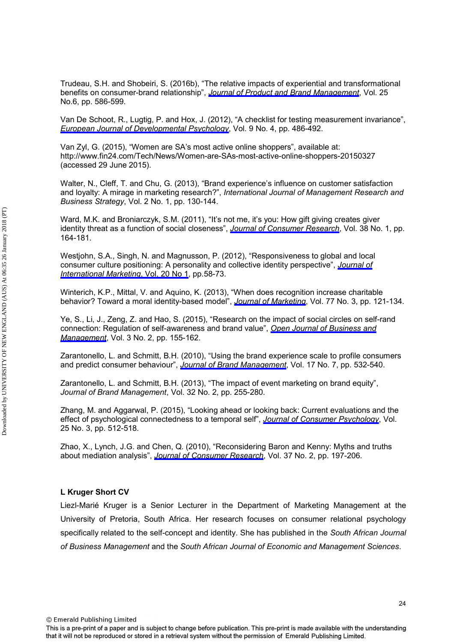Trudeau, S.H. and Shobeiri, S. (2016b), "The relative impacts of experiential and transformational benefits on consumer-brand relationship", *[Journal of Product and Brand Management](http://www.emeraldinsight.com/action/showLinks?doi=10.1108%2FJPBM-07-2016-1281&system=10.1108%2FJPBM-07-2015-0925&isi=000384906900008&citationId=p_72)*, Vol. 25 No.6, pp. 586-599.

Van De Schoot, R., Lugtig, P. and Hox, J. (2012), "A checklist for testing measurement invariance", *[European Journal of Developmental Psychology](http://www.emeraldinsight.com/action/showLinks?doi=10.1108%2FJPBM-07-2016-1281&crossref=10.1080%2F17405629.2012.686740&isi=000306119600013&citationId=p_73)*, Vol. 9 No. 4, pp. 486-492.

Van Zyl, G. (2015), "Women are SA's most active online shoppers", available at: http://www.fin24.com/Tech/News/Women-are-SAs-most-active-online-shoppers-20150327 (accessed 29 June 2015).

Walter, N., Cleff, T. and Chu, G. (2013), "Brand experience's influence on customer satisfaction and loyalty: A mirage in marketing research?", *International Journal of Management Research and Business Strategy*, Vol. 2 No. 1, pp. 130-144.

Ward, M.K. and Broniarczyk, S.M. (2011), "It's not me, it's you: How gift giving creates giver identity threat as a function of social closeness", *[Journal of Consumer Research](http://www.emeraldinsight.com/action/showLinks?doi=10.1108%2FJPBM-07-2016-1281&crossref=10.1086%2F658166&isi=000297841700013&citationId=p_76)*, Vol. 38 No. 1, pp. 164-181.

Westjohn, S.A., Singh, N. and Magnusson, P. (2012), "Responsiveness to global and local consumer culture positioning: A personality and collective identity perspective", *[Journal of](http://www.emeraldinsight.com/action/showLinks?doi=10.1108%2FJPBM-07-2016-1281&crossref=10.1509%2Fjim.10.0154&citationId=p_77)  [International Marketing](http://www.emeraldinsight.com/action/showLinks?doi=10.1108%2FJPBM-07-2016-1281&crossref=10.1509%2Fjim.10.0154&citationId=p_77)*, Vol, 20 No 1, pp.58-73.

Winterich, K.P., Mittal, V. and Aquino, K. (2013), "When does recognition increase charitable behavior? Toward a moral identity-based model", *[Journal of Marketing](http://www.emeraldinsight.com/action/showLinks?doi=10.1108%2FJPBM-07-2016-1281&crossref=10.1509%2Fjm.11.0477&isi=000317803800008&citationId=p_78)*, Vol. 77 No. 3, pp. 121-134.

Ye, S., Li, J., Zeng, Z. and Hao, S. (2015), "Research on the impact of social circles on self-rand connection: Regulation of self-awareness and brand value", *[Open Journal of Business and](http://www.emeraldinsight.com/action/showLinks?doi=10.1108%2FJPBM-07-2016-1281&crossref=10.4236%2Fojbm.2015.32015&citationId=p_79) [Management](http://www.emeraldinsight.com/action/showLinks?doi=10.1108%2FJPBM-07-2016-1281&crossref=10.4236%2Fojbm.2015.32015&citationId=p_79)*, Vol. 3 No. 2, pp. 155-162.

Zarantonello, L. and Schmitt, B.H. (2010), "Using the brand experience scale to profile consumers and predict consumer behaviour", *[Journal of Brand Management](http://www.emeraldinsight.com/action/showLinks?doi=10.1108%2FJPBM-07-2016-1281&crossref=10.1057%2Fbm.2010.4&citationId=p_80)*, Vol. 17 No. 7, pp. 532-540.

Zarantonello, L. and Schmitt, B.H. (2013), "The impact of event marketing on brand equity", *Journal of Brand Management*, Vol. 32 No. 2, pp. 255-280.

Zhang, M. and Aggarwal, P. (2015), "Looking ahead or looking back: Current evaluations and the effect of psychological connectedness to a temporal self", *[Journal of Consumer Psychology](http://www.emeraldinsight.com/action/showLinks?doi=10.1108%2FJPBM-07-2016-1281&crossref=10.1016%2Fj.jcps.2015.01.002&isi=000357703600013&citationId=p_82)*, Vol. 25 No. 3, pp. 512-518.

Zhao, X., Lynch, J.G. and Chen, Q. (2010), "Reconsidering Baron and Kenny: Myths and truths about mediation analysis", *[Journal of Consumer Research](http://www.emeraldinsight.com/action/showLinks?doi=10.1108%2FJPBM-07-2016-1281&crossref=10.1086%2F651257&isi=000279443600001&citationId=p_83)*, Vol. 37 No. 2, pp. 197-206.

## **L Kruger Short CV**

Liezl-Marié Kruger is a Senior Lecturer in the Department of Marketing Management at the University of Pretoria, South Africa. Her research focuses on consumer relational psychology specifically related to the self-concept and identity. She has published in the *South African Journal of Business Management* and the *South African Journal of Economic and Management Sciences*.

© Emerald Publishing Limited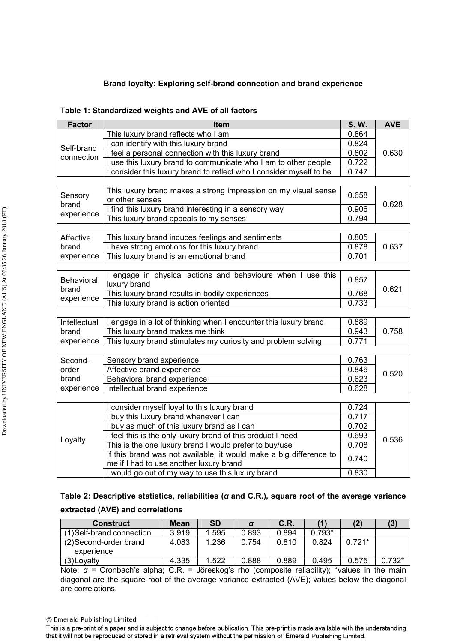## **Brand loyalty: Exploring self-brand connection and brand experience**

| Table 1: Standardized weights and AVE of all factors |
|------------------------------------------------------|
|------------------------------------------------------|

| <b>Factor</b>                        | Item                                                                                                          | S.W.  | <b>AVE</b> |  |  |  |  |  |
|--------------------------------------|---------------------------------------------------------------------------------------------------------------|-------|------------|--|--|--|--|--|
|                                      | This luxury brand reflects who I am                                                                           | 0.864 |            |  |  |  |  |  |
| Self-brand                           | I can identify with this luxury brand                                                                         | 0.824 |            |  |  |  |  |  |
| connection                           | I feel a personal connection with this luxury brand                                                           | 0.802 | 0.630      |  |  |  |  |  |
|                                      | I use this luxury brand to communicate who I am to other people                                               | 0.722 |            |  |  |  |  |  |
|                                      | I consider this luxury brand to reflect who I consider myself to be                                           | 0.747 |            |  |  |  |  |  |
|                                      |                                                                                                               |       |            |  |  |  |  |  |
| Sensory                              | This luxury brand makes a strong impression on my visual sense<br>or other senses                             | 0.658 |            |  |  |  |  |  |
| brand                                | I find this luxury brand interesting in a sensory way                                                         | 0.906 | 0.628      |  |  |  |  |  |
| experience                           | This luxury brand appeals to my senses                                                                        | 0.794 |            |  |  |  |  |  |
|                                      |                                                                                                               |       |            |  |  |  |  |  |
| Affective                            | This luxury brand induces feelings and sentiments                                                             | 0.805 |            |  |  |  |  |  |
| brand                                | I have strong emotions for this luxury brand                                                                  | 0.878 | 0.637      |  |  |  |  |  |
| experience                           | This luxury brand is an emotional brand                                                                       | 0.701 |            |  |  |  |  |  |
|                                      |                                                                                                               |       |            |  |  |  |  |  |
| Behavioral                           | I engage in physical actions and behaviours when I use this<br>luxury brand                                   | 0.857 |            |  |  |  |  |  |
| brand                                | This luxury brand results in bodily experiences                                                               | 0.768 | 0.621      |  |  |  |  |  |
| experience                           | 0.733                                                                                                         |       |            |  |  |  |  |  |
| This luxury brand is action oriented |                                                                                                               |       |            |  |  |  |  |  |
| Intellectual                         | I engage in a lot of thinking when I encounter this luxury brand                                              | 0.889 |            |  |  |  |  |  |
| brand                                | This luxury brand makes me think                                                                              | 0.943 | 0.758      |  |  |  |  |  |
| experience                           | This luxury brand stimulates my curiosity and problem solving                                                 | 0.771 |            |  |  |  |  |  |
|                                      |                                                                                                               |       |            |  |  |  |  |  |
| Second-                              | Sensory brand experience                                                                                      | 0.763 |            |  |  |  |  |  |
| order                                | Affective brand experience                                                                                    | 0.846 | 0.520      |  |  |  |  |  |
| brand                                | Behavioral brand experience                                                                                   | 0.623 |            |  |  |  |  |  |
| experience                           | Intellectual brand experience                                                                                 | 0.628 |            |  |  |  |  |  |
|                                      |                                                                                                               |       |            |  |  |  |  |  |
|                                      | I consider myself loyal to this luxury brand                                                                  | 0.724 |            |  |  |  |  |  |
|                                      | buy this luxury brand whenever I can                                                                          | 0.717 |            |  |  |  |  |  |
| Loyalty                              | buy as much of this luxury brand as I can                                                                     | 0.702 |            |  |  |  |  |  |
|                                      | I feel this is the only luxury brand of this product I need                                                   | 0.693 | 0.536      |  |  |  |  |  |
|                                      | This is the one luxury brand I would prefer to buy/use                                                        | 0.708 |            |  |  |  |  |  |
|                                      | If this brand was not available, it would make a big difference to<br>me if I had to use another luxury brand | 0.740 |            |  |  |  |  |  |
|                                      | I would go out of my way to use this luxury brand                                                             | 0.830 |            |  |  |  |  |  |

| Table 2: Descriptive statistics, reliabilities ( $\alpha$ and C.R.), square root of the average variance |  |  |  |
|----------------------------------------------------------------------------------------------------------|--|--|--|
| extracted (AVE) and correlations                                                                         |  |  |  |

| Construct                            | Mean  | <b>SD</b> |       | C.R.  |          |          |          |
|--------------------------------------|-------|-----------|-------|-------|----------|----------|----------|
| (1) Self-brand connection            | 3.919 | .595      | 0.893 | 0.894 | $0.793*$ |          |          |
| (2) Second-order brand<br>experience | 4.083 | 1.236     | 0.754 | 0.810 | 0.824    | $0.721*$ |          |
| (3) Loyalty                          | 4.335 | 1.522     | 0.888 | 0.889 | 0.495    | 0.575    | $0.732*$ |

Note: *α* = Cronbach's alpha; C.R. = Jöreskog's rho (composite reliability); \*values in the main diagonal are the square root of the average variance extracted (AVE); values below the diagonal are correlations.

<sup>©</sup> Emerald Publishing Limited

This is a pre-print of a paper and is subject to change before publication. This pre-print is made available with the understanding that it will not be reproduced or stored in a retrieval system without the permission of Emerald Publishing Limited.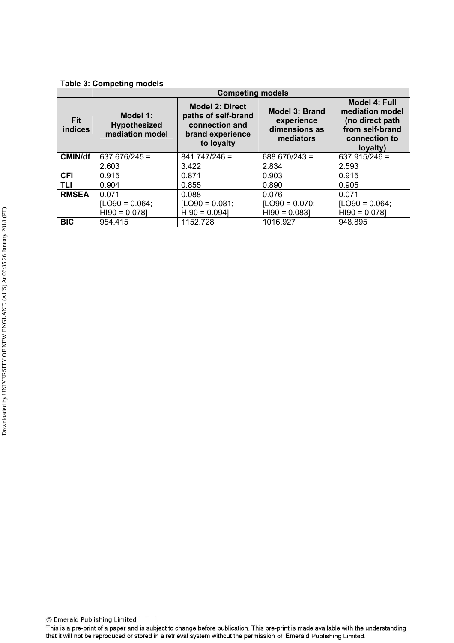## **Table 3: Competing models**

|                              | <b>Competing models</b>                            |                                                                                                   |                                                            |                                                                                                            |  |  |  |
|------------------------------|----------------------------------------------------|---------------------------------------------------------------------------------------------------|------------------------------------------------------------|------------------------------------------------------------------------------------------------------------|--|--|--|
| <b>Fit</b><br><b>indices</b> | Model 1:<br><b>Hypothesized</b><br>mediation model | <b>Model 2: Direct</b><br>paths of self-brand<br>connection and<br>brand experience<br>to loyalty | Model 3: Brand<br>experience<br>dimensions as<br>mediators | <b>Model 4: Full</b><br>mediation model<br>(no direct path<br>from self-brand<br>connection to<br>loyalty) |  |  |  |
| <b>CMIN/df</b>               | $637.676/245 =$                                    | $841.747/246 =$                                                                                   | $688.670/243 =$                                            | $637.915/246 =$                                                                                            |  |  |  |
|                              | 2.603                                              | 3.422                                                                                             | 2.834                                                      | 2.593                                                                                                      |  |  |  |
| <b>CFI</b>                   | 0.915                                              | 0.871                                                                                             | 0.903                                                      | 0.915                                                                                                      |  |  |  |
| <b>TLI</b>                   | 0.904                                              | 0.855                                                                                             | 0.890                                                      | 0.905                                                                                                      |  |  |  |
| <b>RMSEA</b>                 | 0.071                                              | 0.088                                                                                             | 0.076                                                      | 0.071                                                                                                      |  |  |  |
|                              | $[LO90 = 0.064]$                                   | $[LO90 = 0.081]$                                                                                  | [ $LO90 = 0.070$ ;                                         | [ $LO90 = 0.064$ ;                                                                                         |  |  |  |
|                              | $H190 = 0.078$                                     | $H190 = 0.0941$                                                                                   | $H190 = 0.083$                                             | $H190 = 0.0781$                                                                                            |  |  |  |
| <b>BIC</b>                   | 954.415                                            | 1152.728                                                                                          | 1016.927                                                   | 948.895                                                                                                    |  |  |  |

© Emerald Publishing Limited

This is a pre-print of a paper and is subject to change before publication. This pre-print is made available with the understanding that it will not be reproduced or stored in a retrieval system without the permission of Emerald Publishing Limited.